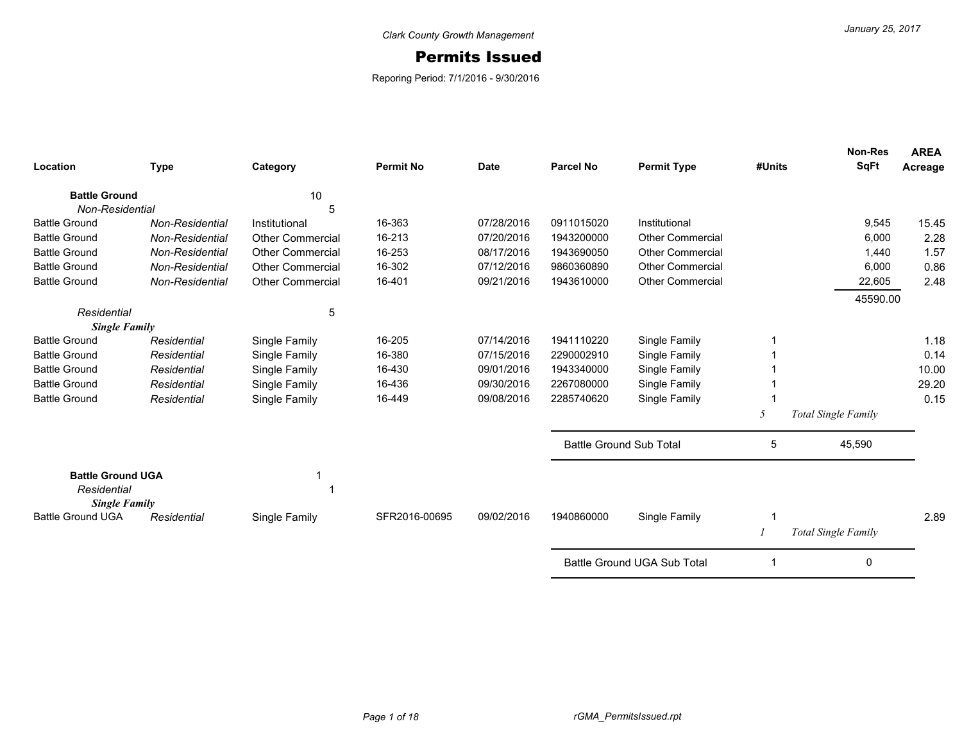## Permits Issued

Reporing Period: 7/1/2016 - 9/30/2016

| Location                 | <b>Type</b>            | Category                | <b>Permit No</b> | <b>Date</b> | <b>Parcel No</b>               | <b>Permit Type</b>          | #Units | <b>Non-Res</b><br><b>SqFt</b> | <b>AREA</b><br>Acreage |
|--------------------------|------------------------|-------------------------|------------------|-------------|--------------------------------|-----------------------------|--------|-------------------------------|------------------------|
| <b>Battle Ground</b>     |                        | 10                      |                  |             |                                |                             |        |                               |                        |
| Non-Residential          |                        | 5                       |                  |             |                                |                             |        |                               |                        |
| <b>Battle Ground</b>     | Non-Residential        | Institutional           | 16-363           | 07/28/2016  | 0911015020                     | Institutional               |        | 9,545                         | 15.45                  |
| <b>Battle Ground</b>     | Non-Residential        | <b>Other Commercial</b> | 16-213           | 07/20/2016  | 1943200000                     | <b>Other Commercial</b>     |        | 6,000                         | 2.28                   |
| <b>Battle Ground</b>     | Non-Residential        | <b>Other Commercial</b> | 16-253           | 08/17/2016  | 1943690050                     | <b>Other Commercial</b>     |        | 1,440                         | 1.57                   |
| <b>Battle Ground</b>     | Non-Residential        | <b>Other Commercial</b> | 16-302           | 07/12/2016  | 9860360890                     | <b>Other Commercial</b>     |        | 6,000                         | 0.86                   |
| <b>Battle Ground</b>     | <b>Non-Residential</b> | <b>Other Commercial</b> | 16-401           | 09/21/2016  | 1943610000                     | <b>Other Commercial</b>     |        | 22,605                        | 2.48                   |
|                          |                        |                         |                  |             |                                |                             |        | 45590.00                      |                        |
| Residential              |                        | 5                       |                  |             |                                |                             |        |                               |                        |
| <b>Single Family</b>     |                        |                         |                  |             |                                |                             |        |                               |                        |
| <b>Battle Ground</b>     | Residential            | Single Family           | 16-205           | 07/14/2016  | 1941110220                     | Single Family               |        |                               | 1.18                   |
| <b>Battle Ground</b>     | Residential            | Single Family           | 16-380           | 07/15/2016  | 2290002910                     | Single Family               |        |                               | 0.14                   |
| <b>Battle Ground</b>     | Residential            | Single Family           | 16-430           | 09/01/2016  | 1943340000                     | Single Family               |        |                               | 10.00                  |
| <b>Battle Ground</b>     | Residential            | Single Family           | 16-436           | 09/30/2016  | 2267080000                     | Single Family               |        |                               | 29.20                  |
| <b>Battle Ground</b>     | Residential            | Single Family           | 16-449           | 09/08/2016  | 2285740620                     | Single Family               |        |                               | 0.15                   |
|                          |                        |                         |                  |             |                                |                             | 5      | <b>Total Single Family</b>    |                        |
|                          |                        |                         |                  |             | <b>Battle Ground Sub Total</b> |                             | 5      | 45,590                        |                        |
| <b>Battle Ground UGA</b> |                        |                         |                  |             |                                |                             |        |                               |                        |
| Residential              |                        |                         |                  |             |                                |                             |        |                               |                        |
| <b>Single Family</b>     |                        |                         |                  |             |                                |                             |        |                               |                        |
| <b>Battle Ground UGA</b> | Residential            | Single Family           | SFR2016-00695    | 09/02/2016  | 1940860000                     | Single Family               |        |                               | 2.89                   |
|                          |                        |                         |                  |             |                                |                             |        | <b>Total Single Family</b>    |                        |
|                          |                        |                         |                  |             |                                | Battle Ground UGA Sub Total |        | 0                             |                        |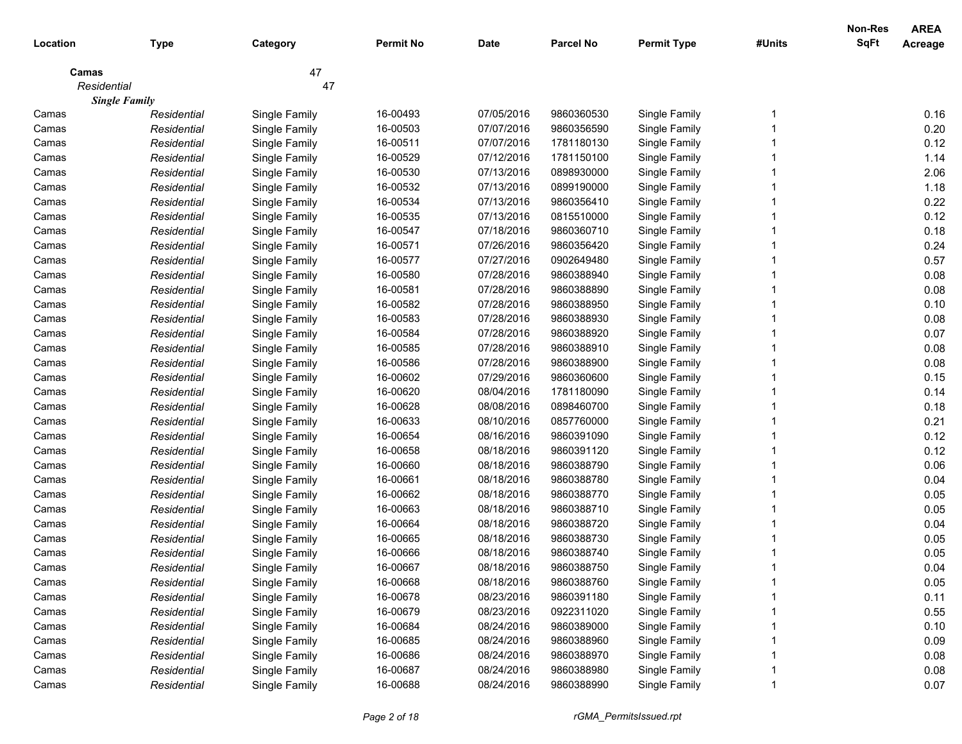| Location    |                      |               | <b>Permit No</b> | <b>Date</b> | <b>Parcel No</b> | <b>Permit Type</b> | #Units | <b>Non-Res</b><br><b>SqFt</b> | <b>AREA</b>    |
|-------------|----------------------|---------------|------------------|-------------|------------------|--------------------|--------|-------------------------------|----------------|
|             | <b>Type</b>          | Category      |                  |             |                  |                    |        |                               | <b>Acreage</b> |
| Camas       |                      | 47            |                  |             |                  |                    |        |                               |                |
| Residential |                      | 47            |                  |             |                  |                    |        |                               |                |
|             | <b>Single Family</b> |               |                  |             |                  |                    |        |                               |                |
| Camas       | Residential          | Single Family | 16-00493         | 07/05/2016  | 9860360530       | Single Family      |        |                               | 0.16           |
| Camas       | Residential          | Single Family | 16-00503         | 07/07/2016  | 9860356590       | Single Family      |        |                               | 0.20           |
| Camas       | Residential          | Single Family | 16-00511         | 07/07/2016  | 1781180130       | Single Family      |        |                               | 0.12           |
| Camas       | Residential          | Single Family | 16-00529         | 07/12/2016  | 1781150100       | Single Family      |        |                               | 1.14           |
| Camas       | Residential          | Single Family | 16-00530         | 07/13/2016  | 0898930000       | Single Family      |        |                               | 2.06           |
| Camas       | Residential          | Single Family | 16-00532         | 07/13/2016  | 0899190000       | Single Family      |        |                               | 1.18           |
| Camas       | Residential          | Single Family | 16-00534         | 07/13/2016  | 9860356410       | Single Family      |        |                               | 0.22           |
| Camas       | Residential          | Single Family | 16-00535         | 07/13/2016  | 0815510000       | Single Family      |        |                               | 0.12           |
| Camas       | Residential          | Single Family | 16-00547         | 07/18/2016  | 9860360710       | Single Family      |        |                               | 0.18           |
| Camas       | Residential          | Single Family | 16-00571         | 07/26/2016  | 9860356420       | Single Family      |        |                               | 0.24           |
| Camas       | Residential          | Single Family | 16-00577         | 07/27/2016  | 0902649480       | Single Family      |        |                               | 0.57           |
| Camas       | Residential          | Single Family | 16-00580         | 07/28/2016  | 9860388940       | Single Family      |        |                               | 0.08           |
| Camas       | Residential          | Single Family | 16-00581         | 07/28/2016  | 9860388890       | Single Family      |        |                               | 0.08           |
| Camas       | Residential          | Single Family | 16-00582         | 07/28/2016  | 9860388950       | Single Family      |        |                               | 0.10           |
| Camas       | Residential          | Single Family | 16-00583         | 07/28/2016  | 9860388930       | Single Family      |        |                               | 0.08           |
| Camas       | Residential          | Single Family | 16-00584         | 07/28/2016  | 9860388920       | Single Family      |        |                               | 0.07           |
| Camas       | Residential          | Single Family | 16-00585         | 07/28/2016  | 9860388910       | Single Family      |        |                               | 0.08           |
| Camas       | Residential          | Single Family | 16-00586         | 07/28/2016  | 9860388900       | Single Family      |        |                               | 0.08           |
| Camas       | Residential          | Single Family | 16-00602         | 07/29/2016  | 9860360600       | Single Family      |        |                               | 0.15           |
| Camas       | Residential          | Single Family | 16-00620         | 08/04/2016  | 1781180090       | Single Family      |        |                               | 0.14           |
| Camas       | Residential          | Single Family | 16-00628         | 08/08/2016  | 0898460700       | Single Family      |        |                               | 0.18           |
| Camas       | Residential          | Single Family | 16-00633         | 08/10/2016  | 0857760000       | Single Family      |        |                               | 0.21           |
| Camas       | Residential          | Single Family | 16-00654         | 08/16/2016  | 9860391090       | Single Family      |        |                               | 0.12           |
| Camas       | Residential          | Single Family | 16-00658         | 08/18/2016  | 9860391120       | Single Family      |        |                               | 0.12           |
| Camas       | Residential          | Single Family | 16-00660         | 08/18/2016  | 9860388790       | Single Family      |        |                               | 0.06           |
| Camas       | Residential          | Single Family | 16-00661         | 08/18/2016  | 9860388780       | Single Family      |        |                               | 0.04           |
| Camas       | Residential          | Single Family | 16-00662         | 08/18/2016  | 9860388770       | Single Family      |        |                               | 0.05           |
| Camas       | Residential          | Single Family | 16-00663         | 08/18/2016  | 9860388710       | Single Family      |        |                               | 0.05           |
| Camas       | Residential          | Single Family | 16-00664         | 08/18/2016  | 9860388720       | Single Family      |        |                               | 0.04           |
| Camas       | Residential          | Single Family | 16-00665         | 08/18/2016  | 9860388730       | Single Family      |        |                               | 0.05           |
| Camas       | Residential          | Single Family | 16-00666         | 08/18/2016  | 9860388740       | Single Family      |        |                               | 0.05           |
| Camas       | Residential          | Single Family | 16-00667         | 08/18/2016  | 9860388750       | Single Family      |        |                               | 0.04           |
| Camas       | Residential          | Single Family | 16-00668         | 08/18/2016  | 9860388760       | Single Family      |        |                               | 0.05           |
| Camas       | Residential          | Single Family | 16-00678         | 08/23/2016  | 9860391180       | Single Family      |        |                               | 0.11           |
| Camas       | Residential          | Single Family | 16-00679         | 08/23/2016  | 0922311020       | Single Family      |        |                               | 0.55           |
| Camas       | Residential          | Single Family | 16-00684         | 08/24/2016  | 9860389000       | Single Family      |        |                               | 0.10           |
| Camas       | Residential          | Single Family | 16-00685         | 08/24/2016  | 9860388960       | Single Family      |        |                               | 0.09           |
| Camas       | Residential          | Single Family | 16-00686         | 08/24/2016  | 9860388970       | Single Family      |        |                               | 0.08           |
| Camas       | Residential          | Single Family | 16-00687         | 08/24/2016  | 9860388980       | Single Family      |        |                               | 0.08           |
| Camas       | Residential          | Single Family | 16-00688         | 08/24/2016  | 9860388990       | Single Family      |        |                               | 0.07           |
|             |                      |               |                  |             |                  |                    |        |                               |                |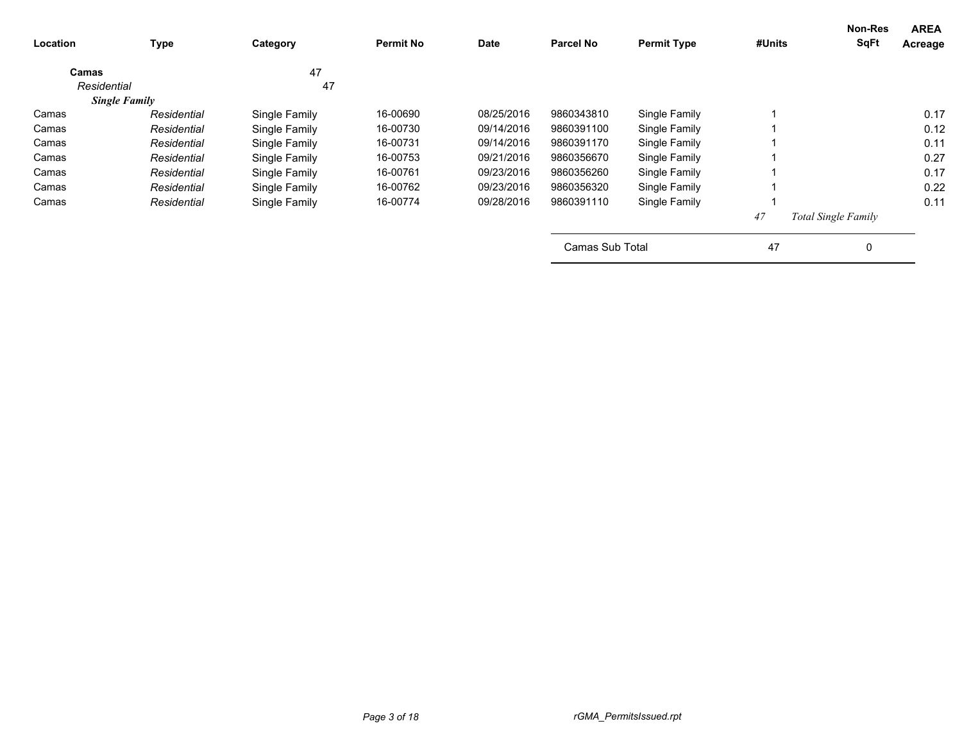| <b>Location</b>      | Type        | Category      | <b>Permit No</b> | Date       | <b>Parcel No</b> | <b>Permit Type</b> | #Units | <b>Non-Res</b><br><b>SqFt</b> | <b>AREA</b><br>Acreage |
|----------------------|-------------|---------------|------------------|------------|------------------|--------------------|--------|-------------------------------|------------------------|
| Camas                |             | 47            |                  |            |                  |                    |        |                               |                        |
| Residential          |             | 47            |                  |            |                  |                    |        |                               |                        |
| <b>Single Family</b> |             |               |                  |            |                  |                    |        |                               |                        |
| Camas                | Residential | Single Family | 16-00690         | 08/25/2016 | 9860343810       | Single Family      |        |                               | 0.17                   |
| Camas                | Residential | Single Family | 16-00730         | 09/14/2016 | 9860391100       | Single Family      |        |                               | 0.12                   |
| Camas                | Residential | Single Family | 16-00731         | 09/14/2016 | 9860391170       | Single Family      |        |                               | 0.11                   |
| Camas                | Residential | Single Family | 16-00753         | 09/21/2016 | 9860356670       | Single Family      |        |                               | 0.27                   |
| Camas                | Residential | Single Family | 16-00761         | 09/23/2016 | 9860356260       | Single Family      |        |                               | 0.17                   |
| Camas                | Residential | Single Family | 16-00762         | 09/23/2016 | 9860356320       | Single Family      |        |                               | 0.22                   |
| Camas                | Residential | Single Family | 16-00774         | 09/28/2016 | 9860391110       | Single Family      |        |                               | 0.11                   |
|                      |             |               |                  |            |                  |                    | 47     | Total Single Family           |                        |
|                      |             |               |                  |            | Camas Sub Total  |                    | 47     | 0                             |                        |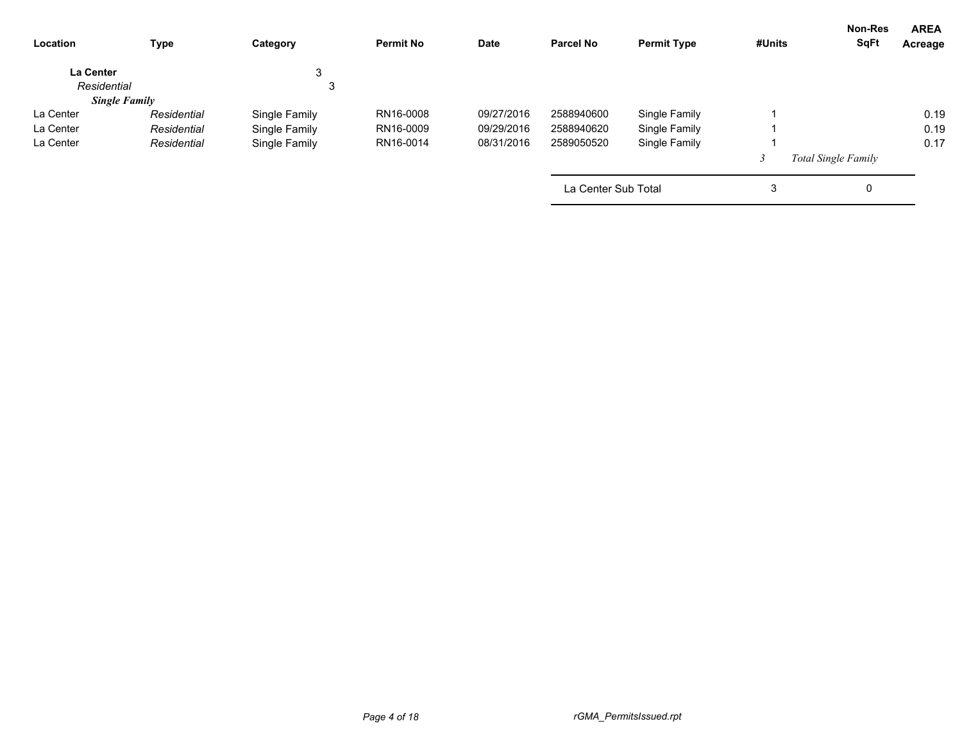| Location         | <b>Type</b>          | Category      | <b>Permit No</b> | <b>Date</b> | <b>Parcel No</b>    | <b>Permit Type</b> | #Units | Non-Res<br><b>SqFt</b>     | <b>AREA</b><br>Acreage |
|------------------|----------------------|---------------|------------------|-------------|---------------------|--------------------|--------|----------------------------|------------------------|
| <b>La Center</b> |                      | 3             |                  |             |                     |                    |        |                            |                        |
| Residential      |                      | 3             |                  |             |                     |                    |        |                            |                        |
|                  | <b>Single Family</b> |               |                  |             |                     |                    |        |                            |                        |
| La Center        | Residential          | Single Family | RN16-0008        | 09/27/2016  | 2588940600          | Single Family      |        |                            | 0.19                   |
| La Center        | Residential          | Single Family | RN16-0009        | 09/29/2016  | 2588940620          | Single Family      |        |                            | 0.19                   |
| La Center        | Residential          | Single Family | RN16-0014        | 08/31/2016  | 2589050520          | Single Family      |        |                            | 0.17                   |
|                  |                      |               |                  |             |                     |                    |        | <b>Total Single Family</b> |                        |
|                  |                      |               |                  |             | La Center Sub Total |                    | 3      | 0                          |                        |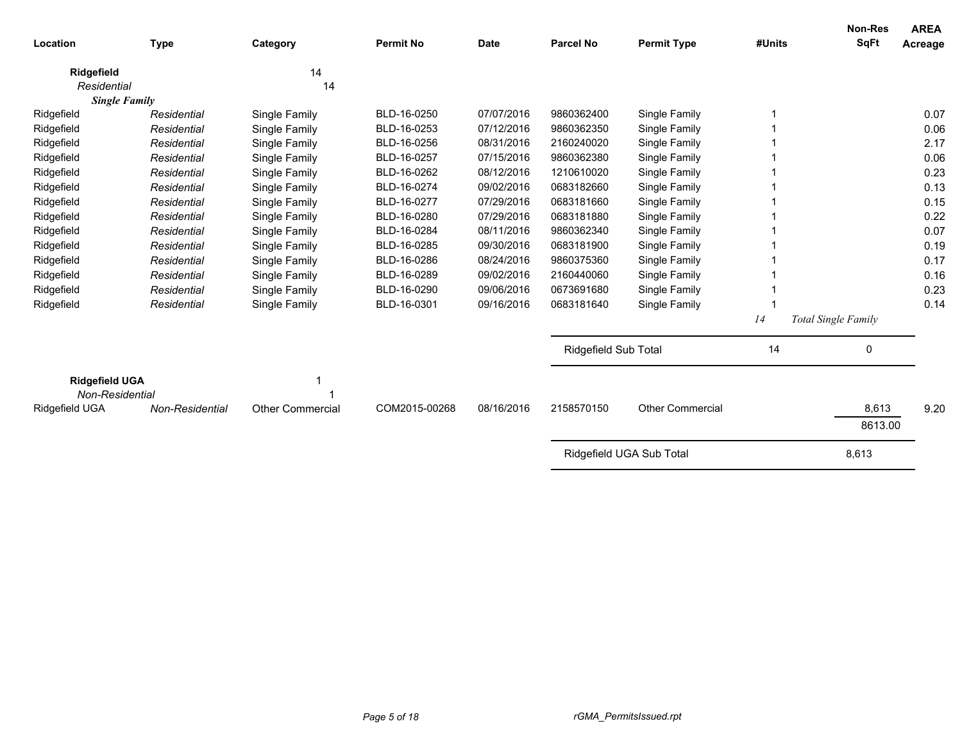| Location                                 | <b>Type</b>                | Category                       | <b>Permit No</b> | <b>Date</b> | <b>Parcel No</b>     | <b>Permit Type</b>             | #Units | <b>Non-Res</b><br><b>SqFt</b> | <b>AREA</b><br>Acreage |
|------------------------------------------|----------------------------|--------------------------------|------------------|-------------|----------------------|--------------------------------|--------|-------------------------------|------------------------|
| Ridgefield                               |                            | 14                             |                  |             |                      |                                |        |                               |                        |
| Residential                              |                            | 14                             |                  |             |                      |                                |        |                               |                        |
|                                          | <b>Single Family</b>       |                                | BLD-16-0250      | 07/07/2016  | 9860362400           |                                |        |                               | 0.07                   |
| Ridgefield                               | Residential<br>Residential | Single Family                  | BLD-16-0253      | 07/12/2016  | 9860362350           | Single Family<br>Single Family |        |                               | 0.06                   |
| Ridgefield<br>Ridgefield                 |                            | Single Family                  | BLD-16-0256      | 08/31/2016  | 2160240020           | Single Family                  |        |                               | 2.17                   |
|                                          | Residential<br>Residential | Single Family                  | BLD-16-0257      | 07/15/2016  | 9860362380           |                                |        |                               | 0.06                   |
| Ridgefield                               | Residential                | Single Family                  | BLD-16-0262      | 08/12/2016  | 1210610020           | Single Family                  |        |                               | 0.23                   |
| Ridgefield                               | Residential                | Single Family                  | BLD-16-0274      | 09/02/2016  | 0683182660           | Single Family                  |        |                               | 0.13                   |
| Ridgefield<br>Ridgefield                 | Residential                | Single Family<br>Single Family | BLD-16-0277      | 07/29/2016  | 0683181660           | Single Family<br>Single Family |        |                               | 0.15                   |
| Ridgefield                               | Residential                | Single Family                  | BLD-16-0280      | 07/29/2016  | 0683181880           | Single Family                  |        |                               | 0.22                   |
| Ridgefield                               | Residential                | Single Family                  | BLD-16-0284      | 08/11/2016  | 9860362340           | Single Family                  |        |                               | 0.07                   |
| Ridgefield                               | Residential                | Single Family                  | BLD-16-0285      | 09/30/2016  | 0683181900           | Single Family                  |        |                               | 0.19                   |
| Ridgefield                               | Residential                | Single Family                  | BLD-16-0286      | 08/24/2016  | 9860375360           | Single Family                  |        |                               | 0.17                   |
| Ridgefield                               | Residential                | Single Family                  | BLD-16-0289      | 09/02/2016  | 2160440060           | Single Family                  |        |                               | 0.16                   |
| Ridgefield                               | Residential                | Single Family                  | BLD-16-0290      | 09/06/2016  | 0673691680           | Single Family                  |        |                               | 0.23                   |
| Ridgefield                               | Residential                | Single Family                  | BLD-16-0301      | 09/16/2016  | 0683181640           | Single Family                  |        |                               | 0.14                   |
|                                          |                            |                                |                  |             |                      |                                | 14     |                               |                        |
|                                          |                            |                                |                  |             |                      |                                |        | Total Single Family           |                        |
|                                          |                            |                                |                  |             | Ridgefield Sub Total |                                | 14     | 0                             |                        |
| <b>Ridgefield UGA</b><br>Non-Residential |                            |                                |                  |             |                      |                                |        |                               |                        |
| Ridgefield UGA                           | Non-Residential            | Other Commercial               | COM2015-00268    | 08/16/2016  | 2158570150           | <b>Other Commercial</b>        |        | 8,613                         | 9.20                   |
|                                          |                            |                                |                  |             |                      |                                |        | 8613.00                       |                        |
|                                          |                            |                                |                  |             |                      | Ridgefield UGA Sub Total       |        | 8,613                         |                        |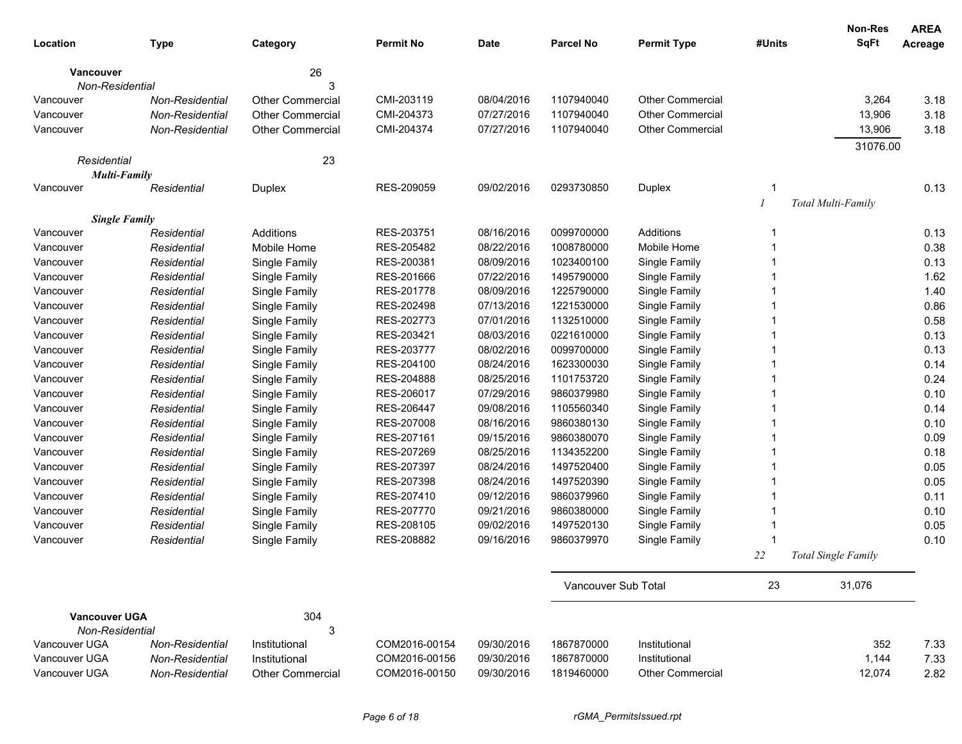| Location                     | <b>Type</b>                | Category                       | <b>Permit No</b>         | Date                     | <b>Parcel No</b>         | <b>Permit Type</b>             | #Units | <b>Non-Res</b><br><b>SqFt</b> | <b>AREA</b><br>Acreage |
|------------------------------|----------------------------|--------------------------------|--------------------------|--------------------------|--------------------------|--------------------------------|--------|-------------------------------|------------------------|
|                              |                            | 26                             |                          |                          |                          |                                |        |                               |                        |
| Vancouver<br>Non-Residential |                            | 3                              |                          |                          |                          |                                |        |                               |                        |
| Vancouver                    | Non-Residential            | <b>Other Commercial</b>        | CMI-203119               | 08/04/2016               | 1107940040               | <b>Other Commercial</b>        |        | 3,264                         | 3.18                   |
| Vancouver                    | Non-Residential            | <b>Other Commercial</b>        | CMI-204373               | 07/27/2016               | 1107940040               | <b>Other Commercial</b>        |        | 13,906                        | 3.18                   |
| Vancouver                    | Non-Residential            | Other Commercial               | CMI-204374               | 07/27/2016               | 1107940040               | <b>Other Commercial</b>        |        | 13,906                        | 3.18                   |
|                              |                            |                                |                          |                          |                          |                                |        | 31076.00                      |                        |
| Residential                  |                            | 23                             |                          |                          |                          |                                |        |                               |                        |
| <b>Multi-Family</b>          |                            |                                |                          |                          |                          |                                |        |                               |                        |
| Vancouver                    | Residential                | Duplex                         | RES-209059               | 09/02/2016               | 0293730850               | Duplex                         | 1      |                               | 0.13                   |
|                              |                            |                                |                          |                          |                          |                                |        | Total Multi-Family            |                        |
| <b>Single Family</b>         |                            |                                |                          |                          |                          |                                |        |                               |                        |
| Vancouver                    | Residential                | Additions                      | RES-203751               | 08/16/2016               | 0099700000               | Additions                      | 1      |                               | 0.13                   |
| Vancouver                    | Residential                | Mobile Home                    | RES-205482               | 08/22/2016               | 1008780000               | Mobile Home                    | 1      |                               | 0.38                   |
| Vancouver                    | Residential                | Single Family                  | RES-200381<br>RES-201666 | 08/09/2016<br>07/22/2016 | 1023400100<br>1495790000 | Single Family                  | 1      |                               | 0.13                   |
| Vancouver<br>Vancouver       | Residential<br>Residential | Single Family                  | RES-201778               | 08/09/2016               | 1225790000               | Single Family<br>Single Family | 1      |                               | 1.62<br>1.40           |
| Vancouver                    | Residential                | Single Family<br>Single Family | RES-202498               | 07/13/2016               | 1221530000               | Single Family                  | 1      |                               | 0.86                   |
| Vancouver                    | Residential                | Single Family                  | RES-202773               | 07/01/2016               | 1132510000               | Single Family                  |        |                               | 0.58                   |
| Vancouver                    | Residential                | Single Family                  | RES-203421               | 08/03/2016               | 0221610000               | Single Family                  |        |                               | 0.13                   |
| Vancouver                    | Residential                | Single Family                  | RES-203777               | 08/02/2016               | 0099700000               | Single Family                  |        |                               | 0.13                   |
| Vancouver                    | Residential                | Single Family                  | RES-204100               | 08/24/2016               | 1623300030               | Single Family                  |        |                               | 0.14                   |
| Vancouver                    | Residential                | Single Family                  | RES-204888               | 08/25/2016               | 1101753720               | Single Family                  |        |                               | 0.24                   |
| Vancouver                    | Residential                | Single Family                  | RES-206017               | 07/29/2016               | 9860379980               | Single Family                  | 1      |                               | 0.10                   |
| Vancouver                    | Residential                | Single Family                  | RES-206447               | 09/08/2016               | 1105560340               | Single Family                  |        |                               | 0.14                   |
| Vancouver                    | Residential                | Single Family                  | RES-207008               | 08/16/2016               | 9860380130               | Single Family                  |        |                               | 0.10                   |
| Vancouver                    | Residential                | Single Family                  | RES-207161               | 09/15/2016               | 9860380070               | Single Family                  |        |                               | 0.09                   |
| Vancouver                    | Residential                | Single Family                  | RES-207269               | 08/25/2016               | 1134352200               | Single Family                  |        |                               | 0.18                   |
| Vancouver                    | Residential                | Single Family                  | RES-207397               | 08/24/2016               | 1497520400               | Single Family                  |        |                               | 0.05                   |
| Vancouver                    | Residential                | Single Family                  | RES-207398               | 08/24/2016               | 1497520390               | Single Family                  |        |                               | 0.05                   |
| Vancouver                    | Residential                | Single Family                  | RES-207410               | 09/12/2016               | 9860379960               | Single Family                  |        |                               | 0.11                   |
| Vancouver                    | Residential                | Single Family                  | RES-207770               | 09/21/2016               | 9860380000               | Single Family                  |        |                               | 0.10                   |
| Vancouver                    | Residential                | Single Family                  | RES-208105               | 09/02/2016               | 1497520130               | Single Family                  |        |                               | 0.05                   |
| Vancouver                    | Residential                | Single Family                  | RES-208882               | 09/16/2016               | 9860379970               | Single Family                  |        |                               | 0.10                   |
|                              |                            |                                |                          |                          |                          |                                | 22     | Total Single Family           |                        |
|                              |                            |                                |                          |                          |                          |                                |        |                               |                        |
|                              |                            |                                |                          |                          | Vancouver Sub Total      |                                | 23     | 31,076                        |                        |
| <b>Vancouver UGA</b>         |                            | 304                            |                          |                          |                          |                                |        |                               |                        |
| Non-Residential              |                            | 3                              |                          |                          |                          |                                |        |                               |                        |
| Vancouver UGA                | <b>Non-Residential</b>     | Institutional                  | COM2016-00154            | 09/30/2016               | 1867870000               | Institutional                  |        | 352                           | 7.33                   |
| Vancouver UGA                | <b>Non-Residential</b>     | Institutional                  | COM2016-00156            | 09/30/2016               | 1867870000               | Institutional                  |        | 1,144                         | 7.33                   |
| Vancouver UGA                | <b>Non-Residential</b>     | <b>Other Commercial</b>        | COM2016-00150            | 09/30/2016               | 1819460000               | <b>Other Commercial</b>        |        | 12,074                        | 2.82                   |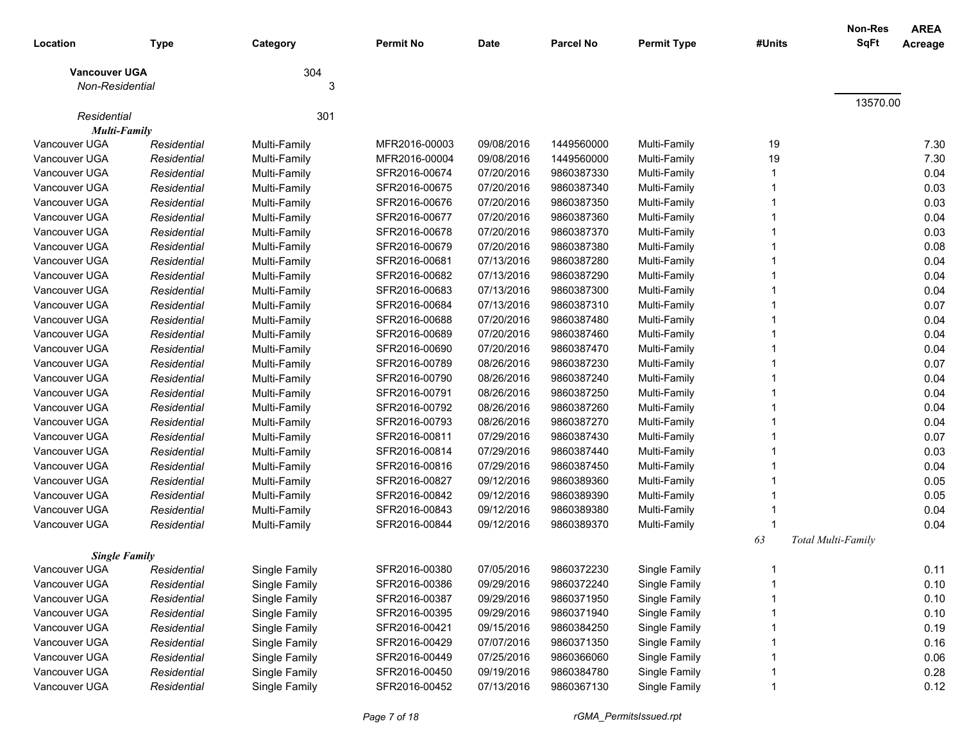| Location                                | <b>Type</b> | Category      | <b>Permit No</b> | Date       | <b>Parcel No</b> | <b>Permit Type</b> | #Units | <b>Non-Res</b><br><b>SqFt</b> | <b>AREA</b><br>Acreage |
|-----------------------------------------|-------------|---------------|------------------|------------|------------------|--------------------|--------|-------------------------------|------------------------|
| <b>Vancouver UGA</b><br>Non-Residential |             | 304<br>3      |                  |            |                  |                    |        |                               |                        |
|                                         |             |               |                  |            |                  |                    |        | 13570.00                      |                        |
| Residential                             |             | 301           |                  |            |                  |                    |        |                               |                        |
| <b>Multi-Family</b>                     |             |               |                  |            |                  |                    |        |                               |                        |
| Vancouver UGA                           | Residential | Multi-Family  | MFR2016-00003    | 09/08/2016 | 1449560000       | Multi-Family       | 19     |                               | 7.30                   |
| Vancouver UGA                           | Residential | Multi-Family  | MFR2016-00004    | 09/08/2016 | 1449560000       | Multi-Family       | 19     |                               | 7.30                   |
| Vancouver UGA                           | Residential | Multi-Family  | SFR2016-00674    | 07/20/2016 | 9860387330       | Multi-Family       |        |                               | 0.04                   |
| Vancouver UGA                           | Residential | Multi-Family  | SFR2016-00675    | 07/20/2016 | 9860387340       | Multi-Family       |        |                               | 0.03                   |
| Vancouver UGA                           | Residential | Multi-Family  | SFR2016-00676    | 07/20/2016 | 9860387350       | Multi-Family       |        |                               | 0.03                   |
| Vancouver UGA                           | Residential | Multi-Family  | SFR2016-00677    | 07/20/2016 | 9860387360       | Multi-Family       |        |                               | 0.04                   |
| Vancouver UGA                           | Residential | Multi-Family  | SFR2016-00678    | 07/20/2016 | 9860387370       | Multi-Family       |        |                               | 0.03                   |
| Vancouver UGA                           | Residential | Multi-Family  | SFR2016-00679    | 07/20/2016 | 9860387380       | Multi-Family       |        |                               | 0.08                   |
| Vancouver UGA                           | Residential | Multi-Family  | SFR2016-00681    | 07/13/2016 | 9860387280       | Multi-Family       |        |                               | 0.04                   |
| Vancouver UGA                           | Residential | Multi-Family  | SFR2016-00682    | 07/13/2016 | 9860387290       | Multi-Family       |        |                               | 0.04                   |
| Vancouver UGA                           | Residential | Multi-Family  | SFR2016-00683    | 07/13/2016 | 9860387300       | Multi-Family       |        |                               | 0.04                   |
| Vancouver UGA                           | Residential | Multi-Family  | SFR2016-00684    | 07/13/2016 | 9860387310       | Multi-Family       |        |                               | 0.07                   |
| Vancouver UGA                           | Residential | Multi-Family  | SFR2016-00688    | 07/20/2016 | 9860387480       | Multi-Family       |        |                               | 0.04                   |
| Vancouver UGA                           | Residential | Multi-Family  | SFR2016-00689    | 07/20/2016 | 9860387460       | Multi-Family       |        |                               | 0.04                   |
| Vancouver UGA                           | Residential | Multi-Family  | SFR2016-00690    | 07/20/2016 | 9860387470       | Multi-Family       |        |                               | 0.04                   |
| Vancouver UGA                           | Residential | Multi-Family  | SFR2016-00789    | 08/26/2016 | 9860387230       | Multi-Family       |        |                               | 0.07                   |
| Vancouver UGA                           | Residential | Multi-Family  | SFR2016-00790    | 08/26/2016 | 9860387240       | Multi-Family       |        |                               | 0.04                   |
| Vancouver UGA                           | Residential | Multi-Family  | SFR2016-00791    | 08/26/2016 | 9860387250       | Multi-Family       |        |                               | 0.04                   |
| Vancouver UGA                           | Residential | Multi-Family  | SFR2016-00792    | 08/26/2016 | 9860387260       | Multi-Family       |        |                               | 0.04                   |
| Vancouver UGA                           | Residential | Multi-Family  | SFR2016-00793    | 08/26/2016 | 9860387270       | Multi-Family       |        |                               | 0.04                   |
| Vancouver UGA                           | Residential | Multi-Family  | SFR2016-00811    | 07/29/2016 | 9860387430       | Multi-Family       |        |                               | 0.07                   |
| Vancouver UGA                           | Residential | Multi-Family  | SFR2016-00814    | 07/29/2016 | 9860387440       | Multi-Family       |        |                               | 0.03                   |
| Vancouver UGA                           | Residential | Multi-Family  | SFR2016-00816    | 07/29/2016 | 9860387450       | Multi-Family       |        |                               | 0.04                   |
| Vancouver UGA                           | Residential | Multi-Family  | SFR2016-00827    | 09/12/2016 | 9860389360       | Multi-Family       |        |                               | 0.05                   |
| Vancouver UGA                           | Residential | Multi-Family  | SFR2016-00842    | 09/12/2016 | 9860389390       | Multi-Family       |        |                               | 0.05                   |
| Vancouver UGA                           | Residential | Multi-Family  | SFR2016-00843    | 09/12/2016 | 9860389380       | Multi-Family       |        |                               | 0.04                   |
| Vancouver UGA                           | Residential | Multi-Family  | SFR2016-00844    | 09/12/2016 | 9860389370       | Multi-Family       |        |                               | 0.04                   |
| <b>Single Family</b>                    |             |               |                  |            |                  |                    | 63     | Total Multi-Family            |                        |
| Vancouver UGA                           | Residential | Single Family | SFR2016-00380    | 07/05/2016 | 9860372230       | Single Family      |        |                               | 0.11                   |
| Vancouver UGA                           | Residential | Single Family | SFR2016-00386    | 09/29/2016 | 9860372240       | Single Family      |        |                               | 0.10                   |
| Vancouver UGA                           | Residential | Single Family | SFR2016-00387    | 09/29/2016 | 9860371950       | Single Family      |        |                               | 0.10                   |
| Vancouver UGA                           | Residential | Single Family | SFR2016-00395    | 09/29/2016 | 9860371940       | Single Family      |        |                               | 0.10                   |
| Vancouver UGA                           | Residential | Single Family | SFR2016-00421    | 09/15/2016 | 9860384250       | Single Family      |        |                               | 0.19                   |
| Vancouver UGA                           | Residential | Single Family | SFR2016-00429    | 07/07/2016 | 9860371350       | Single Family      |        |                               | 0.16                   |
| Vancouver UGA                           | Residential | Single Family | SFR2016-00449    | 07/25/2016 | 9860366060       | Single Family      |        |                               | 0.06                   |
| Vancouver UGA                           | Residential | Single Family | SFR2016-00450    | 09/19/2016 | 9860384780       | Single Family      |        |                               | 0.28                   |
| Vancouver UGA                           | Residential | Single Family | SFR2016-00452    | 07/13/2016 | 9860367130       | Single Family      |        |                               | 0.12                   |
|                                         |             |               |                  |            |                  |                    |        |                               |                        |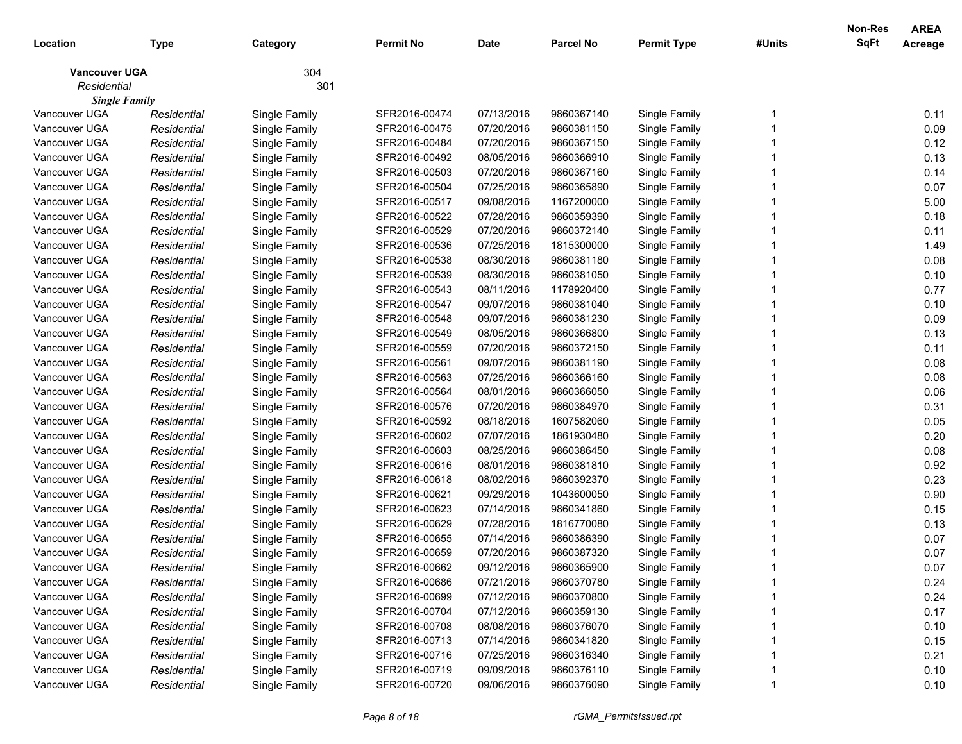| Location             | <b>Type</b> | Category      | <b>Permit No</b> | <b>Date</b> | <b>Parcel No</b> | <b>Permit Type</b> | #Units | Non-Res<br>SqFt | <b>AREA</b><br>Acreage |
|----------------------|-------------|---------------|------------------|-------------|------------------|--------------------|--------|-----------------|------------------------|
| <b>Vancouver UGA</b> |             | 304           |                  |             |                  |                    |        |                 |                        |
| Residential          |             | 301           |                  |             |                  |                    |        |                 |                        |
| <b>Single Family</b> |             |               |                  |             |                  |                    |        |                 |                        |
| Vancouver UGA        | Residential | Single Family | SFR2016-00474    | 07/13/2016  | 9860367140       | Single Family      |        |                 | 0.11                   |
| Vancouver UGA        | Residential | Single Family | SFR2016-00475    | 07/20/2016  | 9860381150       | Single Family      |        |                 | 0.09                   |
| Vancouver UGA        | Residential | Single Family | SFR2016-00484    | 07/20/2016  | 9860367150       | Single Family      |        |                 | 0.12                   |
| Vancouver UGA        | Residential | Single Family | SFR2016-00492    | 08/05/2016  | 9860366910       | Single Family      |        |                 | 0.13                   |
| Vancouver UGA        | Residential | Single Family | SFR2016-00503    | 07/20/2016  | 9860367160       | Single Family      |        |                 | 0.14                   |
| Vancouver UGA        | Residential | Single Family | SFR2016-00504    | 07/25/2016  | 9860365890       | Single Family      |        |                 | 0.07                   |
| Vancouver UGA        | Residential | Single Family | SFR2016-00517    | 09/08/2016  | 1167200000       | Single Family      |        |                 | 5.00                   |
| Vancouver UGA        | Residential | Single Family | SFR2016-00522    | 07/28/2016  | 9860359390       | Single Family      |        |                 | 0.18                   |
| Vancouver UGA        | Residential | Single Family | SFR2016-00529    | 07/20/2016  | 9860372140       | Single Family      |        |                 | 0.11                   |
| Vancouver UGA        | Residential | Single Family | SFR2016-00536    | 07/25/2016  | 1815300000       | Single Family      |        |                 | 1.49                   |
| Vancouver UGA        | Residential | Single Family | SFR2016-00538    | 08/30/2016  | 9860381180       | Single Family      |        |                 | 0.08                   |
| Vancouver UGA        | Residential | Single Family | SFR2016-00539    | 08/30/2016  | 9860381050       | Single Family      |        |                 | 0.10                   |
| Vancouver UGA        | Residential | Single Family | SFR2016-00543    | 08/11/2016  | 1178920400       | Single Family      |        |                 | 0.77                   |
| Vancouver UGA        | Residential | Single Family | SFR2016-00547    | 09/07/2016  | 9860381040       | Single Family      |        |                 | 0.10                   |
| Vancouver UGA        | Residential | Single Family | SFR2016-00548    | 09/07/2016  | 9860381230       | Single Family      |        |                 | 0.09                   |
| Vancouver UGA        | Residential | Single Family | SFR2016-00549    | 08/05/2016  | 9860366800       | Single Family      |        |                 | 0.13                   |
| Vancouver UGA        | Residential | Single Family | SFR2016-00559    | 07/20/2016  | 9860372150       | Single Family      |        |                 | 0.11                   |
| Vancouver UGA        | Residential | Single Family | SFR2016-00561    | 09/07/2016  | 9860381190       | Single Family      |        |                 | 0.08                   |
| Vancouver UGA        | Residential | Single Family | SFR2016-00563    | 07/25/2016  | 9860366160       | Single Family      |        |                 | 0.08                   |
| Vancouver UGA        | Residential | Single Family | SFR2016-00564    | 08/01/2016  | 9860366050       | Single Family      |        |                 | 0.06                   |
| Vancouver UGA        | Residential | Single Family | SFR2016-00576    | 07/20/2016  | 9860384970       | Single Family      |        |                 | 0.31                   |
| Vancouver UGA        | Residential | Single Family | SFR2016-00592    | 08/18/2016  | 1607582060       | Single Family      |        |                 | 0.05                   |
| Vancouver UGA        | Residential | Single Family | SFR2016-00602    | 07/07/2016  | 1861930480       | Single Family      |        |                 | 0.20                   |
| Vancouver UGA        | Residential | Single Family | SFR2016-00603    | 08/25/2016  | 9860386450       | Single Family      |        |                 | 0.08                   |
| Vancouver UGA        | Residential | Single Family | SFR2016-00616    | 08/01/2016  | 9860381810       | Single Family      |        |                 | 0.92                   |
| Vancouver UGA        | Residential | Single Family | SFR2016-00618    | 08/02/2016  | 9860392370       | Single Family      |        |                 | 0.23                   |
| Vancouver UGA        | Residential | Single Family | SFR2016-00621    | 09/29/2016  | 1043600050       | Single Family      |        |                 | 0.90                   |
| Vancouver UGA        | Residential | Single Family | SFR2016-00623    | 07/14/2016  | 9860341860       | Single Family      |        |                 | 0.15                   |
| Vancouver UGA        | Residential | Single Family | SFR2016-00629    | 07/28/2016  | 1816770080       | Single Family      |        |                 | 0.13                   |
| Vancouver UGA        | Residential | Single Family | SFR2016-00655    | 07/14/2016  | 9860386390       | Single Family      |        |                 | 0.07                   |
| Vancouver UGA        | Residential | Single Family | SFR2016-00659    | 07/20/2016  | 9860387320       | Single Family      |        |                 | 0.07                   |
| Vancouver UGA        | Residential | Single Family | SFR2016-00662    | 09/12/2016  | 9860365900       | Single Family      |        |                 | 0.07                   |
| Vancouver UGA        | Residential | Single Family | SFR2016-00686    | 07/21/2016  | 9860370780       | Single Family      |        |                 | 0.24                   |
| Vancouver UGA        | Residential | Single Family | SFR2016-00699    | 07/12/2016  | 9860370800       | Single Family      |        |                 | 0.24                   |
| Vancouver UGA        | Residential | Single Family | SFR2016-00704    | 07/12/2016  | 9860359130       | Single Family      |        |                 | 0.17                   |
| Vancouver UGA        | Residential | Single Family | SFR2016-00708    | 08/08/2016  | 9860376070       | Single Family      |        |                 | 0.10                   |
| Vancouver UGA        | Residential | Single Family | SFR2016-00713    | 07/14/2016  | 9860341820       | Single Family      |        |                 | 0.15                   |
| Vancouver UGA        | Residential | Single Family | SFR2016-00716    | 07/25/2016  | 9860316340       | Single Family      |        |                 | 0.21                   |
| Vancouver UGA        | Residential | Single Family | SFR2016-00719    | 09/09/2016  | 9860376110       | Single Family      |        |                 | 0.10                   |
| Vancouver UGA        | Residential | Single Family | SFR2016-00720    | 09/06/2016  | 9860376090       | Single Family      |        |                 | 0.10                   |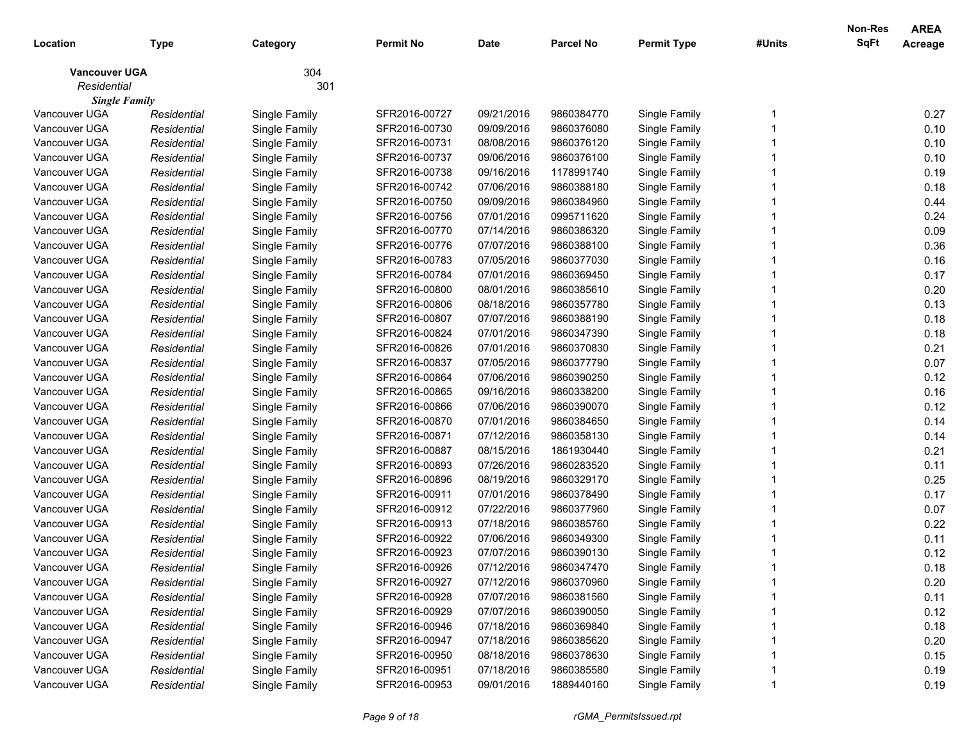| Location             | <b>Type</b> | Category      | <b>Permit No</b> | <b>Date</b> | <b>Parcel No</b> | <b>Permit Type</b> | #Units | Non-Res<br>SqFt | <b>AREA</b><br>Acreage |
|----------------------|-------------|---------------|------------------|-------------|------------------|--------------------|--------|-----------------|------------------------|
| <b>Vancouver UGA</b> |             | 304           |                  |             |                  |                    |        |                 |                        |
| Residential          |             | 301           |                  |             |                  |                    |        |                 |                        |
| <b>Single Family</b> |             |               |                  |             |                  |                    |        |                 |                        |
| Vancouver UGA        | Residential | Single Family | SFR2016-00727    | 09/21/2016  | 9860384770       | Single Family      |        |                 | 0.27                   |
| Vancouver UGA        | Residential | Single Family | SFR2016-00730    | 09/09/2016  | 9860376080       | Single Family      |        |                 | 0.10                   |
| Vancouver UGA        | Residential | Single Family | SFR2016-00731    | 08/08/2016  | 9860376120       | Single Family      |        |                 | 0.10                   |
| Vancouver UGA        | Residential | Single Family | SFR2016-00737    | 09/06/2016  | 9860376100       | Single Family      |        |                 | 0.10                   |
| Vancouver UGA        | Residential | Single Family | SFR2016-00738    | 09/16/2016  | 1178991740       | Single Family      |        |                 | 0.19                   |
| Vancouver UGA        | Residential | Single Family | SFR2016-00742    | 07/06/2016  | 9860388180       | Single Family      |        |                 | 0.18                   |
| Vancouver UGA        | Residential | Single Family | SFR2016-00750    | 09/09/2016  | 9860384960       | Single Family      |        |                 | 0.44                   |
| Vancouver UGA        | Residential | Single Family | SFR2016-00756    | 07/01/2016  | 0995711620       | Single Family      |        |                 | 0.24                   |
| Vancouver UGA        | Residential | Single Family | SFR2016-00770    | 07/14/2016  | 9860386320       | Single Family      |        |                 | 0.09                   |
| Vancouver UGA        | Residential | Single Family | SFR2016-00776    | 07/07/2016  | 9860388100       | Single Family      |        |                 | 0.36                   |
| Vancouver UGA        | Residential | Single Family | SFR2016-00783    | 07/05/2016  | 9860377030       | Single Family      |        |                 | 0.16                   |
| Vancouver UGA        | Residential | Single Family | SFR2016-00784    | 07/01/2016  | 9860369450       | Single Family      |        |                 | 0.17                   |
| Vancouver UGA        | Residential | Single Family | SFR2016-00800    | 08/01/2016  | 9860385610       | Single Family      |        |                 | 0.20                   |
| Vancouver UGA        | Residential | Single Family | SFR2016-00806    | 08/18/2016  | 9860357780       | Single Family      |        |                 | 0.13                   |
| Vancouver UGA        | Residential | Single Family | SFR2016-00807    | 07/07/2016  | 9860388190       | Single Family      |        |                 | 0.18                   |
| Vancouver UGA        | Residential | Single Family | SFR2016-00824    | 07/01/2016  | 9860347390       | Single Family      |        |                 | 0.18                   |
| Vancouver UGA        | Residential | Single Family | SFR2016-00826    | 07/01/2016  | 9860370830       | Single Family      |        |                 | 0.21                   |
| Vancouver UGA        | Residential | Single Family | SFR2016-00837    | 07/05/2016  | 9860377790       | Single Family      |        |                 | 0.07                   |
| Vancouver UGA        | Residential | Single Family | SFR2016-00864    | 07/06/2016  | 9860390250       | Single Family      |        |                 | 0.12                   |
| Vancouver UGA        | Residential | Single Family | SFR2016-00865    | 09/16/2016  | 9860338200       | Single Family      |        |                 | 0.16                   |
| Vancouver UGA        | Residential | Single Family | SFR2016-00866    | 07/06/2016  | 9860390070       | Single Family      |        |                 | 0.12                   |
| Vancouver UGA        | Residential | Single Family | SFR2016-00870    | 07/01/2016  | 9860384650       | Single Family      |        |                 | 0.14                   |
| Vancouver UGA        | Residential | Single Family | SFR2016-00871    | 07/12/2016  | 9860358130       | Single Family      |        |                 | 0.14                   |
| Vancouver UGA        | Residential | Single Family | SFR2016-00887    | 08/15/2016  | 1861930440       | Single Family      |        |                 | 0.21                   |
| Vancouver UGA        | Residential | Single Family | SFR2016-00893    | 07/26/2016  | 9860283520       | Single Family      |        |                 | 0.11                   |
| Vancouver UGA        | Residential | Single Family | SFR2016-00896    | 08/19/2016  | 9860329170       | Single Family      |        |                 | 0.25                   |
| Vancouver UGA        | Residential | Single Family | SFR2016-00911    | 07/01/2016  | 9860378490       | Single Family      |        |                 | 0.17                   |
| Vancouver UGA        | Residential | Single Family | SFR2016-00912    | 07/22/2016  | 9860377960       | Single Family      |        |                 | 0.07                   |
| Vancouver UGA        | Residential | Single Family | SFR2016-00913    | 07/18/2016  | 9860385760       | Single Family      |        |                 | 0.22                   |
| Vancouver UGA        | Residential | Single Family | SFR2016-00922    | 07/06/2016  | 9860349300       | Single Family      |        |                 | 0.11                   |
| Vancouver UGA        | Residential | Single Family | SFR2016-00923    | 07/07/2016  | 9860390130       | Single Family      |        |                 | 0.12                   |
| Vancouver UGA        | Residential | Single Family | SFR2016-00926    | 07/12/2016  | 9860347470       | Single Family      |        |                 | 0.18                   |
| Vancouver UGA        | Residential | Single Family | SFR2016-00927    | 07/12/2016  | 9860370960       | Single Family      |        |                 | 0.20                   |
| Vancouver UGA        | Residential | Single Family | SFR2016-00928    | 07/07/2016  | 9860381560       | Single Family      |        |                 | 0.11                   |
| Vancouver UGA        | Residential | Single Family | SFR2016-00929    | 07/07/2016  | 9860390050       | Single Family      |        |                 | 0.12                   |
| Vancouver UGA        | Residential | Single Family | SFR2016-00946    | 07/18/2016  | 9860369840       | Single Family      |        |                 | 0.18                   |
| Vancouver UGA        | Residential | Single Family | SFR2016-00947    | 07/18/2016  | 9860385620       | Single Family      |        |                 | 0.20                   |
| Vancouver UGA        | Residential | Single Family | SFR2016-00950    | 08/18/2016  | 9860378630       | Single Family      |        |                 | 0.15                   |
| Vancouver UGA        | Residential | Single Family | SFR2016-00951    | 07/18/2016  | 9860385580       | Single Family      |        |                 | 0.19                   |
| Vancouver UGA        | Residential | Single Family | SFR2016-00953    | 09/01/2016  | 1889440160       | Single Family      |        |                 | 0.19                   |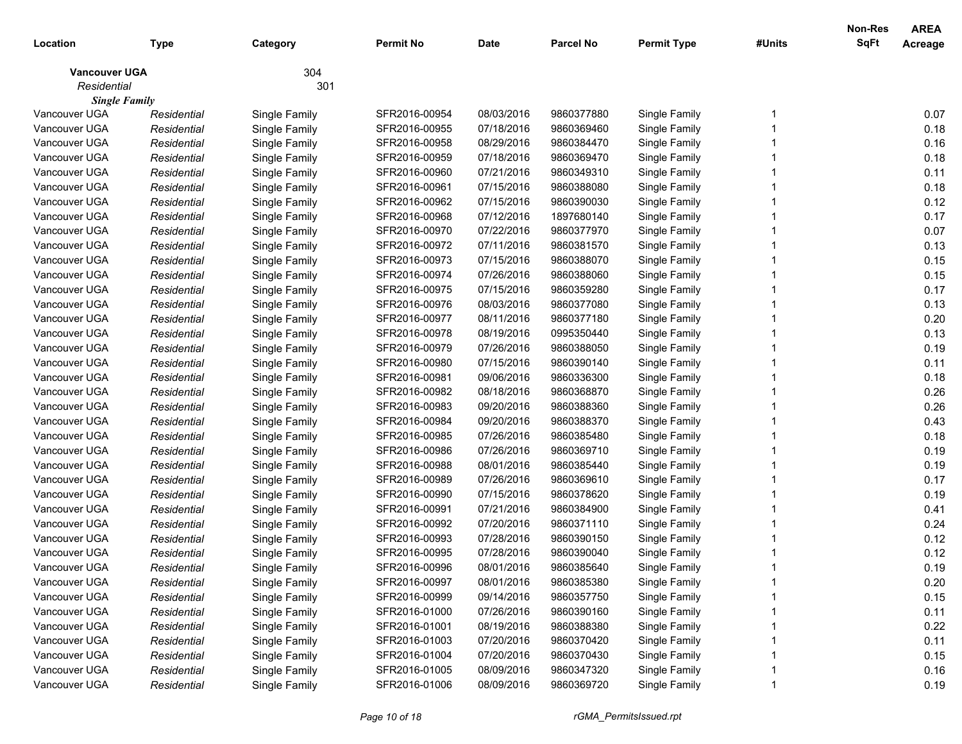| Location             | <b>Type</b> | Category      | <b>Permit No</b> | <b>Date</b> | <b>Parcel No</b> | <b>Permit Type</b> | #Units | Non-Res<br>SqFt | <b>AREA</b><br>Acreage |
|----------------------|-------------|---------------|------------------|-------------|------------------|--------------------|--------|-----------------|------------------------|
| <b>Vancouver UGA</b> |             | 304           |                  |             |                  |                    |        |                 |                        |
| Residential          |             | 301           |                  |             |                  |                    |        |                 |                        |
| <b>Single Family</b> |             |               |                  |             |                  |                    |        |                 |                        |
| Vancouver UGA        | Residential | Single Family | SFR2016-00954    | 08/03/2016  | 9860377880       | Single Family      |        |                 | 0.07                   |
| Vancouver UGA        | Residential | Single Family | SFR2016-00955    | 07/18/2016  | 9860369460       | Single Family      |        |                 | 0.18                   |
| Vancouver UGA        | Residential | Single Family | SFR2016-00958    | 08/29/2016  | 9860384470       | Single Family      |        |                 | 0.16                   |
| Vancouver UGA        | Residential | Single Family | SFR2016-00959    | 07/18/2016  | 9860369470       | Single Family      |        |                 | 0.18                   |
| Vancouver UGA        | Residential | Single Family | SFR2016-00960    | 07/21/2016  | 9860349310       | Single Family      |        |                 | 0.11                   |
| Vancouver UGA        | Residential | Single Family | SFR2016-00961    | 07/15/2016  | 9860388080       | Single Family      |        |                 | 0.18                   |
| Vancouver UGA        | Residential | Single Family | SFR2016-00962    | 07/15/2016  | 9860390030       | Single Family      |        |                 | 0.12                   |
| Vancouver UGA        | Residential | Single Family | SFR2016-00968    | 07/12/2016  | 1897680140       | Single Family      |        |                 | 0.17                   |
| Vancouver UGA        | Residential | Single Family | SFR2016-00970    | 07/22/2016  | 9860377970       | Single Family      |        |                 | 0.07                   |
| Vancouver UGA        | Residential | Single Family | SFR2016-00972    | 07/11/2016  | 9860381570       | Single Family      |        |                 | 0.13                   |
| Vancouver UGA        | Residential | Single Family | SFR2016-00973    | 07/15/2016  | 9860388070       | Single Family      |        |                 | 0.15                   |
| Vancouver UGA        | Residential | Single Family | SFR2016-00974    | 07/26/2016  | 9860388060       | Single Family      |        |                 | 0.15                   |
| Vancouver UGA        | Residential | Single Family | SFR2016-00975    | 07/15/2016  | 9860359280       | Single Family      |        |                 | 0.17                   |
| Vancouver UGA        | Residential | Single Family | SFR2016-00976    | 08/03/2016  | 9860377080       | Single Family      |        |                 | 0.13                   |
| Vancouver UGA        | Residential | Single Family | SFR2016-00977    | 08/11/2016  | 9860377180       | Single Family      |        |                 | 0.20                   |
| Vancouver UGA        | Residential | Single Family | SFR2016-00978    | 08/19/2016  | 0995350440       | Single Family      |        |                 | 0.13                   |
| Vancouver UGA        | Residential | Single Family | SFR2016-00979    | 07/26/2016  | 9860388050       | Single Family      |        |                 | 0.19                   |
| Vancouver UGA        | Residential | Single Family | SFR2016-00980    | 07/15/2016  | 9860390140       | Single Family      |        |                 | 0.11                   |
| Vancouver UGA        | Residential | Single Family | SFR2016-00981    | 09/06/2016  | 9860336300       | Single Family      |        |                 | 0.18                   |
| Vancouver UGA        | Residential | Single Family | SFR2016-00982    | 08/18/2016  | 9860368870       | Single Family      |        |                 | 0.26                   |
| Vancouver UGA        | Residential | Single Family | SFR2016-00983    | 09/20/2016  | 9860388360       | Single Family      |        |                 | 0.26                   |
| Vancouver UGA        | Residential | Single Family | SFR2016-00984    | 09/20/2016  | 9860388370       | Single Family      |        |                 | 0.43                   |
| Vancouver UGA        | Residential | Single Family | SFR2016-00985    | 07/26/2016  | 9860385480       | Single Family      |        |                 | 0.18                   |
| Vancouver UGA        | Residential | Single Family | SFR2016-00986    | 07/26/2016  | 9860369710       | Single Family      |        |                 | 0.19                   |
| Vancouver UGA        | Residential | Single Family | SFR2016-00988    | 08/01/2016  | 9860385440       | Single Family      |        |                 | 0.19                   |
| Vancouver UGA        | Residential | Single Family | SFR2016-00989    | 07/26/2016  | 9860369610       | Single Family      |        |                 | 0.17                   |
| Vancouver UGA        | Residential | Single Family | SFR2016-00990    | 07/15/2016  | 9860378620       | Single Family      |        |                 | 0.19                   |
| Vancouver UGA        | Residential | Single Family | SFR2016-00991    | 07/21/2016  | 9860384900       | Single Family      |        |                 | 0.41                   |
| Vancouver UGA        | Residential | Single Family | SFR2016-00992    | 07/20/2016  | 9860371110       | Single Family      |        |                 | 0.24                   |
| Vancouver UGA        | Residential | Single Family | SFR2016-00993    | 07/28/2016  | 9860390150       | Single Family      |        |                 | 0.12                   |
| Vancouver UGA        | Residential | Single Family | SFR2016-00995    | 07/28/2016  | 9860390040       | Single Family      |        |                 | 0.12                   |
| Vancouver UGA        | Residential | Single Family | SFR2016-00996    | 08/01/2016  | 9860385640       | Single Family      |        |                 | 0.19                   |
| Vancouver UGA        | Residential | Single Family | SFR2016-00997    | 08/01/2016  | 9860385380       | Single Family      |        |                 | 0.20                   |
| Vancouver UGA        | Residential | Single Family | SFR2016-00999    | 09/14/2016  | 9860357750       | Single Family      |        |                 | 0.15                   |
| Vancouver UGA        | Residential | Single Family | SFR2016-01000    | 07/26/2016  | 9860390160       | Single Family      |        |                 | 0.11                   |
| Vancouver UGA        | Residential | Single Family | SFR2016-01001    | 08/19/2016  | 9860388380       | Single Family      |        |                 | 0.22                   |
| Vancouver UGA        | Residential | Single Family | SFR2016-01003    | 07/20/2016  | 9860370420       | Single Family      |        |                 | 0.11                   |
| Vancouver UGA        | Residential | Single Family | SFR2016-01004    | 07/20/2016  | 9860370430       | Single Family      |        |                 | 0.15                   |
| Vancouver UGA        | Residential | Single Family | SFR2016-01005    | 08/09/2016  | 9860347320       | Single Family      |        |                 | 0.16                   |
| Vancouver UGA        | Residential | Single Family | SFR2016-01006    | 08/09/2016  | 9860369720       | Single Family      |        |                 | 0.19                   |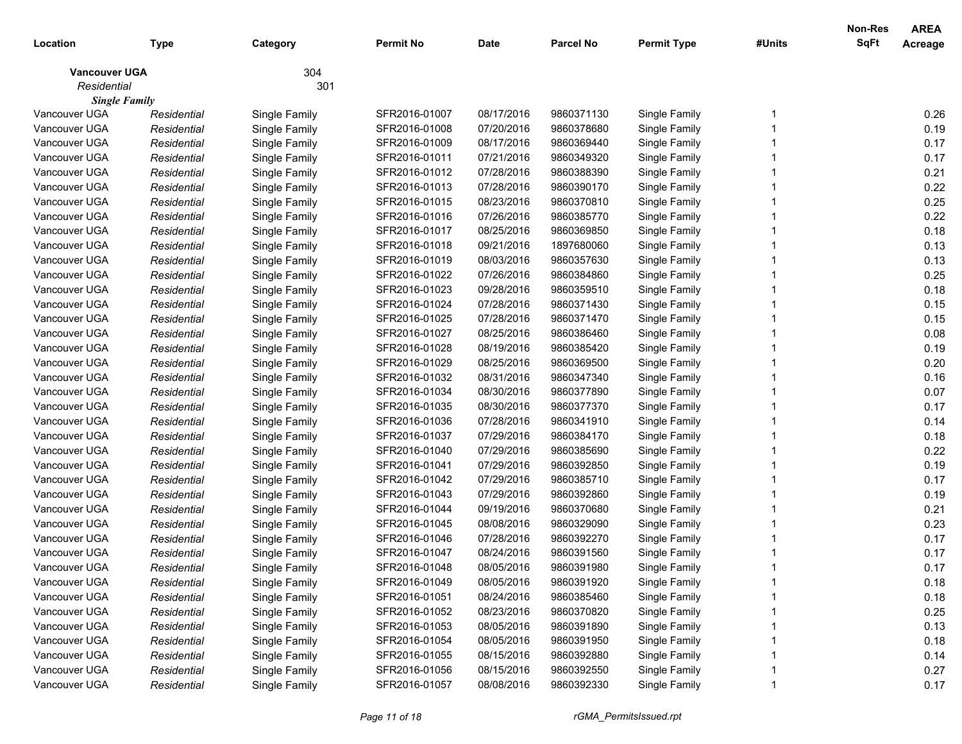| 304<br><b>Vancouver UGA</b><br>Residential<br>301<br><b>Single Family</b><br>Vancouver UGA<br>SFR2016-01007<br>08/17/2016<br>9860371130<br>Single Family<br>Single Family<br>Residential<br>Vancouver UGA<br>Residential<br>Single Family<br>SFR2016-01008<br>07/20/2016<br>9860378680<br>Single Family<br>Vancouver UGA<br>SFR2016-01009<br>08/17/2016<br>9860369440<br>Single Family<br>Residential<br>Single Family<br>Vancouver UGA<br>Residential<br>Single Family<br>SFR2016-01011<br>07/21/2016<br>9860349320<br>Single Family<br>Vancouver UGA<br>Residential<br>Single Family<br>SFR2016-01012<br>07/28/2016<br>9860388390<br>Single Family<br>Vancouver UGA<br>Residential<br>Single Family<br>SFR2016-01013<br>07/28/2016<br>9860390170<br>Single Family<br>Vancouver UGA<br>Residential<br>Single Family<br>SFR2016-01015<br>08/23/2016<br>9860370810<br>Single Family<br>Vancouver UGA<br>Residential<br>Single Family<br>SFR2016-01016<br>07/26/2016<br>9860385770<br>Single Family<br>Vancouver UGA<br>08/25/2016<br>Residential<br>Single Family<br>SFR2016-01017<br>9860369850<br>Single Family<br>Vancouver UGA<br>09/21/2016<br>SFR2016-01018<br>1897680060<br>Single Family<br>Residential<br>Single Family<br>Vancouver UGA<br>SFR2016-01019<br>08/03/2016<br>9860357630<br>Single Family<br>Residential<br>Single Family<br>Vancouver UGA<br>Residential<br>Single Family<br>SFR2016-01022<br>07/26/2016<br>9860384860<br>Single Family | <b>AREA</b><br>Acreage |
|---------------------------------------------------------------------------------------------------------------------------------------------------------------------------------------------------------------------------------------------------------------------------------------------------------------------------------------------------------------------------------------------------------------------------------------------------------------------------------------------------------------------------------------------------------------------------------------------------------------------------------------------------------------------------------------------------------------------------------------------------------------------------------------------------------------------------------------------------------------------------------------------------------------------------------------------------------------------------------------------------------------------------------------------------------------------------------------------------------------------------------------------------------------------------------------------------------------------------------------------------------------------------------------------------------------------------------------------------------------------------------------------------------------------------------------------------------------|------------------------|
|                                                                                                                                                                                                                                                                                                                                                                                                                                                                                                                                                                                                                                                                                                                                                                                                                                                                                                                                                                                                                                                                                                                                                                                                                                                                                                                                                                                                                                                               |                        |
|                                                                                                                                                                                                                                                                                                                                                                                                                                                                                                                                                                                                                                                                                                                                                                                                                                                                                                                                                                                                                                                                                                                                                                                                                                                                                                                                                                                                                                                               |                        |
|                                                                                                                                                                                                                                                                                                                                                                                                                                                                                                                                                                                                                                                                                                                                                                                                                                                                                                                                                                                                                                                                                                                                                                                                                                                                                                                                                                                                                                                               |                        |
|                                                                                                                                                                                                                                                                                                                                                                                                                                                                                                                                                                                                                                                                                                                                                                                                                                                                                                                                                                                                                                                                                                                                                                                                                                                                                                                                                                                                                                                               | 0.26                   |
|                                                                                                                                                                                                                                                                                                                                                                                                                                                                                                                                                                                                                                                                                                                                                                                                                                                                                                                                                                                                                                                                                                                                                                                                                                                                                                                                                                                                                                                               | 0.19                   |
|                                                                                                                                                                                                                                                                                                                                                                                                                                                                                                                                                                                                                                                                                                                                                                                                                                                                                                                                                                                                                                                                                                                                                                                                                                                                                                                                                                                                                                                               | 0.17                   |
|                                                                                                                                                                                                                                                                                                                                                                                                                                                                                                                                                                                                                                                                                                                                                                                                                                                                                                                                                                                                                                                                                                                                                                                                                                                                                                                                                                                                                                                               | 0.17                   |
|                                                                                                                                                                                                                                                                                                                                                                                                                                                                                                                                                                                                                                                                                                                                                                                                                                                                                                                                                                                                                                                                                                                                                                                                                                                                                                                                                                                                                                                               | 0.21                   |
|                                                                                                                                                                                                                                                                                                                                                                                                                                                                                                                                                                                                                                                                                                                                                                                                                                                                                                                                                                                                                                                                                                                                                                                                                                                                                                                                                                                                                                                               | 0.22                   |
|                                                                                                                                                                                                                                                                                                                                                                                                                                                                                                                                                                                                                                                                                                                                                                                                                                                                                                                                                                                                                                                                                                                                                                                                                                                                                                                                                                                                                                                               | 0.25                   |
|                                                                                                                                                                                                                                                                                                                                                                                                                                                                                                                                                                                                                                                                                                                                                                                                                                                                                                                                                                                                                                                                                                                                                                                                                                                                                                                                                                                                                                                               | 0.22                   |
|                                                                                                                                                                                                                                                                                                                                                                                                                                                                                                                                                                                                                                                                                                                                                                                                                                                                                                                                                                                                                                                                                                                                                                                                                                                                                                                                                                                                                                                               | 0.18                   |
|                                                                                                                                                                                                                                                                                                                                                                                                                                                                                                                                                                                                                                                                                                                                                                                                                                                                                                                                                                                                                                                                                                                                                                                                                                                                                                                                                                                                                                                               | 0.13                   |
|                                                                                                                                                                                                                                                                                                                                                                                                                                                                                                                                                                                                                                                                                                                                                                                                                                                                                                                                                                                                                                                                                                                                                                                                                                                                                                                                                                                                                                                               | 0.13                   |
|                                                                                                                                                                                                                                                                                                                                                                                                                                                                                                                                                                                                                                                                                                                                                                                                                                                                                                                                                                                                                                                                                                                                                                                                                                                                                                                                                                                                                                                               | 0.25                   |
| Vancouver UGA<br>Residential<br>Single Family<br>SFR2016-01023<br>09/28/2016<br>9860359510<br>Single Family                                                                                                                                                                                                                                                                                                                                                                                                                                                                                                                                                                                                                                                                                                                                                                                                                                                                                                                                                                                                                                                                                                                                                                                                                                                                                                                                                   | 0.18                   |
| Vancouver UGA<br>Residential<br>Single Family<br>SFR2016-01024<br>07/28/2016<br>9860371430<br>Single Family                                                                                                                                                                                                                                                                                                                                                                                                                                                                                                                                                                                                                                                                                                                                                                                                                                                                                                                                                                                                                                                                                                                                                                                                                                                                                                                                                   | 0.15                   |
| Vancouver UGA<br>Residential<br>Single Family<br>SFR2016-01025<br>07/28/2016<br>9860371470<br>Single Family                                                                                                                                                                                                                                                                                                                                                                                                                                                                                                                                                                                                                                                                                                                                                                                                                                                                                                                                                                                                                                                                                                                                                                                                                                                                                                                                                   | 0.15                   |
| Vancouver UGA<br>08/25/2016<br>Residential<br>Single Family<br>SFR2016-01027<br>9860386460<br>Single Family                                                                                                                                                                                                                                                                                                                                                                                                                                                                                                                                                                                                                                                                                                                                                                                                                                                                                                                                                                                                                                                                                                                                                                                                                                                                                                                                                   | 0.08                   |
| Vancouver UGA<br>Residential<br>Single Family<br>SFR2016-01028<br>08/19/2016<br>9860385420<br>Single Family                                                                                                                                                                                                                                                                                                                                                                                                                                                                                                                                                                                                                                                                                                                                                                                                                                                                                                                                                                                                                                                                                                                                                                                                                                                                                                                                                   | 0.19                   |
| Vancouver UGA<br>SFR2016-01029<br>08/25/2016<br>9860369500<br>Single Family<br>Residential<br>Single Family                                                                                                                                                                                                                                                                                                                                                                                                                                                                                                                                                                                                                                                                                                                                                                                                                                                                                                                                                                                                                                                                                                                                                                                                                                                                                                                                                   | 0.20                   |
| Vancouver UGA<br>Residential<br>Single Family<br>SFR2016-01032<br>08/31/2016<br>9860347340<br>Single Family                                                                                                                                                                                                                                                                                                                                                                                                                                                                                                                                                                                                                                                                                                                                                                                                                                                                                                                                                                                                                                                                                                                                                                                                                                                                                                                                                   | 0.16                   |
| Vancouver UGA<br>Residential<br>Single Family<br>SFR2016-01034<br>08/30/2016<br>9860377890<br>Single Family                                                                                                                                                                                                                                                                                                                                                                                                                                                                                                                                                                                                                                                                                                                                                                                                                                                                                                                                                                                                                                                                                                                                                                                                                                                                                                                                                   | 0.07                   |
| Vancouver UGA<br>Residential<br>Single Family<br>SFR2016-01035<br>08/30/2016<br>9860377370<br>Single Family                                                                                                                                                                                                                                                                                                                                                                                                                                                                                                                                                                                                                                                                                                                                                                                                                                                                                                                                                                                                                                                                                                                                                                                                                                                                                                                                                   | 0.17                   |
| Vancouver UGA<br>Residential<br>Single Family<br>SFR2016-01036<br>07/28/2016<br>9860341910<br>Single Family                                                                                                                                                                                                                                                                                                                                                                                                                                                                                                                                                                                                                                                                                                                                                                                                                                                                                                                                                                                                                                                                                                                                                                                                                                                                                                                                                   | 0.14                   |
| Vancouver UGA<br>Residential<br>Single Family<br>SFR2016-01037<br>07/29/2016<br>9860384170<br>Single Family                                                                                                                                                                                                                                                                                                                                                                                                                                                                                                                                                                                                                                                                                                                                                                                                                                                                                                                                                                                                                                                                                                                                                                                                                                                                                                                                                   | 0.18                   |
| Vancouver UGA<br>Residential<br>Single Family<br>SFR2016-01040<br>07/29/2016<br>9860385690<br>Single Family                                                                                                                                                                                                                                                                                                                                                                                                                                                                                                                                                                                                                                                                                                                                                                                                                                                                                                                                                                                                                                                                                                                                                                                                                                                                                                                                                   | 0.22                   |
| Vancouver UGA<br>SFR2016-01041<br>07/29/2016<br>9860392850<br>Single Family<br>Residential<br>Single Family                                                                                                                                                                                                                                                                                                                                                                                                                                                                                                                                                                                                                                                                                                                                                                                                                                                                                                                                                                                                                                                                                                                                                                                                                                                                                                                                                   | 0.19                   |
| Vancouver UGA<br>SFR2016-01042<br>07/29/2016<br>9860385710<br>Single Family<br>Residential<br>Single Family                                                                                                                                                                                                                                                                                                                                                                                                                                                                                                                                                                                                                                                                                                                                                                                                                                                                                                                                                                                                                                                                                                                                                                                                                                                                                                                                                   | 0.17                   |
| Vancouver UGA<br>07/29/2016<br>Residential<br>Single Family<br>SFR2016-01043<br>9860392860<br>Single Family                                                                                                                                                                                                                                                                                                                                                                                                                                                                                                                                                                                                                                                                                                                                                                                                                                                                                                                                                                                                                                                                                                                                                                                                                                                                                                                                                   | 0.19                   |
| Vancouver UGA<br>09/19/2016<br>Residential<br>Single Family<br>SFR2016-01044<br>9860370680<br>Single Family                                                                                                                                                                                                                                                                                                                                                                                                                                                                                                                                                                                                                                                                                                                                                                                                                                                                                                                                                                                                                                                                                                                                                                                                                                                                                                                                                   | 0.21                   |
| Vancouver UGA<br>Residential<br>Single Family<br>SFR2016-01045<br>08/08/2016<br>9860329090<br>Single Family                                                                                                                                                                                                                                                                                                                                                                                                                                                                                                                                                                                                                                                                                                                                                                                                                                                                                                                                                                                                                                                                                                                                                                                                                                                                                                                                                   | 0.23                   |
| 07/28/2016<br>Vancouver UGA<br>Residential<br>Single Family<br>SFR2016-01046<br>9860392270<br>Single Family                                                                                                                                                                                                                                                                                                                                                                                                                                                                                                                                                                                                                                                                                                                                                                                                                                                                                                                                                                                                                                                                                                                                                                                                                                                                                                                                                   | 0.17                   |
| Vancouver UGA<br>Single Family<br>SFR2016-01047<br>08/24/2016<br>9860391560<br>Single Family<br>Residential                                                                                                                                                                                                                                                                                                                                                                                                                                                                                                                                                                                                                                                                                                                                                                                                                                                                                                                                                                                                                                                                                                                                                                                                                                                                                                                                                   | 0.17                   |
| Vancouver UGA<br>08/05/2016<br>Single Family<br>Residential<br>SFR2016-01048<br>9860391980<br>Single Family                                                                                                                                                                                                                                                                                                                                                                                                                                                                                                                                                                                                                                                                                                                                                                                                                                                                                                                                                                                                                                                                                                                                                                                                                                                                                                                                                   | 0.17                   |
| SFR2016-01049<br>08/05/2016<br>9860391920<br>Single Family<br>Vancouver UGA<br>Residential<br>Single Family                                                                                                                                                                                                                                                                                                                                                                                                                                                                                                                                                                                                                                                                                                                                                                                                                                                                                                                                                                                                                                                                                                                                                                                                                                                                                                                                                   | 0.18                   |
| Vancouver UGA<br>Single Family<br>SFR2016-01051<br>08/24/2016<br>Single Family<br>Residential<br>9860385460                                                                                                                                                                                                                                                                                                                                                                                                                                                                                                                                                                                                                                                                                                                                                                                                                                                                                                                                                                                                                                                                                                                                                                                                                                                                                                                                                   | 0.18                   |
| Vancouver UGA<br>Single Family<br>08/23/2016<br>Single Family<br>Residential<br>SFR2016-01052<br>9860370820                                                                                                                                                                                                                                                                                                                                                                                                                                                                                                                                                                                                                                                                                                                                                                                                                                                                                                                                                                                                                                                                                                                                                                                                                                                                                                                                                   | 0.25                   |
| Vancouver UGA<br>Single Family<br>08/05/2016<br>Single Family<br>Residential<br>SFR2016-01053<br>9860391890                                                                                                                                                                                                                                                                                                                                                                                                                                                                                                                                                                                                                                                                                                                                                                                                                                                                                                                                                                                                                                                                                                                                                                                                                                                                                                                                                   | 0.13                   |
| Vancouver UGA<br>Single Family<br>08/05/2016<br>Single Family<br>Residential<br>SFR2016-01054<br>9860391950                                                                                                                                                                                                                                                                                                                                                                                                                                                                                                                                                                                                                                                                                                                                                                                                                                                                                                                                                                                                                                                                                                                                                                                                                                                                                                                                                   | 0.18                   |
| Vancouver UGA<br>Single Family<br>08/15/2016<br>Single Family<br>Residential<br>SFR2016-01055<br>9860392880                                                                                                                                                                                                                                                                                                                                                                                                                                                                                                                                                                                                                                                                                                                                                                                                                                                                                                                                                                                                                                                                                                                                                                                                                                                                                                                                                   | 0.14                   |
| Vancouver UGA<br>Single Family<br>08/15/2016<br>Single Family<br>Residential<br>SFR2016-01056<br>9860392550                                                                                                                                                                                                                                                                                                                                                                                                                                                                                                                                                                                                                                                                                                                                                                                                                                                                                                                                                                                                                                                                                                                                                                                                                                                                                                                                                   | 0.27                   |
| Vancouver UGA<br>08/08/2016<br>Single Family<br>Single Family<br>SFR2016-01057<br>9860392330<br>Residential                                                                                                                                                                                                                                                                                                                                                                                                                                                                                                                                                                                                                                                                                                                                                                                                                                                                                                                                                                                                                                                                                                                                                                                                                                                                                                                                                   | 0.17                   |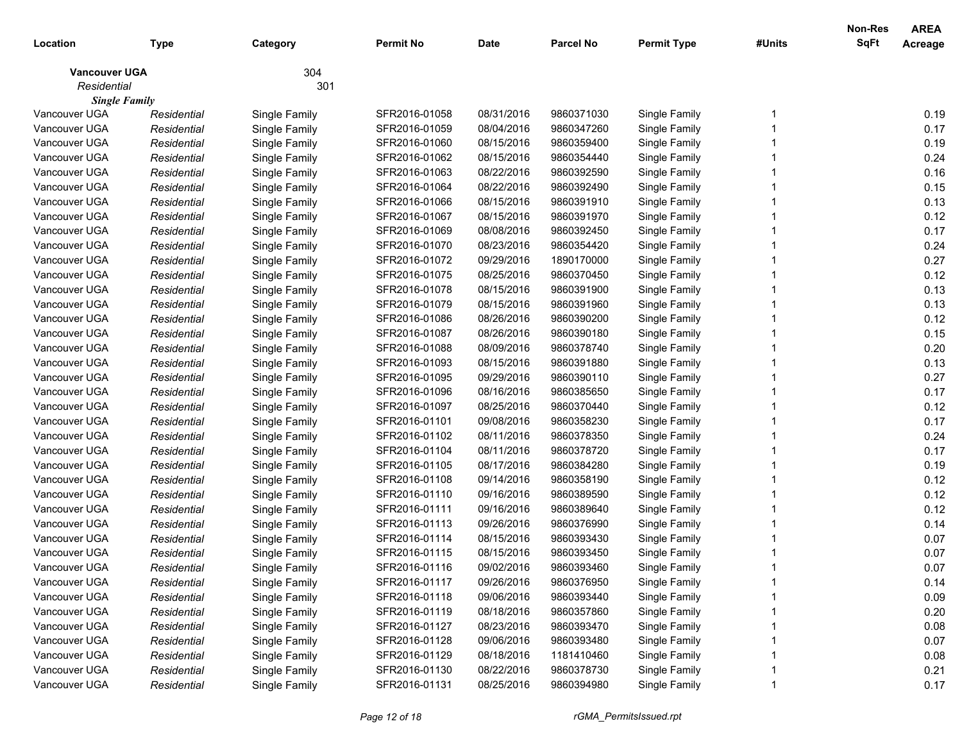| Location             | <b>Type</b> | Category      | <b>Permit No</b> | <b>Date</b> | <b>Parcel No</b> | <b>Permit Type</b> | #Units | <b>Non-Res</b><br>SqFt | <b>AREA</b><br>Acreage |
|----------------------|-------------|---------------|------------------|-------------|------------------|--------------------|--------|------------------------|------------------------|
| <b>Vancouver UGA</b> |             | 304           |                  |             |                  |                    |        |                        |                        |
| Residential          |             | 301           |                  |             |                  |                    |        |                        |                        |
| <b>Single Family</b> |             |               |                  |             |                  |                    |        |                        |                        |
| Vancouver UGA        | Residential | Single Family | SFR2016-01058    | 08/31/2016  | 9860371030       | Single Family      |        |                        | 0.19                   |
| Vancouver UGA        | Residential | Single Family | SFR2016-01059    | 08/04/2016  | 9860347260       | Single Family      |        |                        | 0.17                   |
| Vancouver UGA        | Residential | Single Family | SFR2016-01060    | 08/15/2016  | 9860359400       | Single Family      |        |                        | 0.19                   |
| Vancouver UGA        | Residential | Single Family | SFR2016-01062    | 08/15/2016  | 9860354440       | Single Family      |        |                        | 0.24                   |
| Vancouver UGA        | Residential | Single Family | SFR2016-01063    | 08/22/2016  | 9860392590       | Single Family      |        |                        | 0.16                   |
| Vancouver UGA        | Residential | Single Family | SFR2016-01064    | 08/22/2016  | 9860392490       | Single Family      |        |                        | 0.15                   |
| Vancouver UGA        | Residential | Single Family | SFR2016-01066    | 08/15/2016  | 9860391910       | Single Family      |        |                        | 0.13                   |
| Vancouver UGA        | Residential | Single Family | SFR2016-01067    | 08/15/2016  | 9860391970       | Single Family      |        |                        | 0.12                   |
| Vancouver UGA        | Residential | Single Family | SFR2016-01069    | 08/08/2016  | 9860392450       | Single Family      |        |                        | 0.17                   |
| Vancouver UGA        | Residential | Single Family | SFR2016-01070    | 08/23/2016  | 9860354420       | Single Family      |        |                        | 0.24                   |
| Vancouver UGA        | Residential | Single Family | SFR2016-01072    | 09/29/2016  | 1890170000       | Single Family      |        |                        | 0.27                   |
| Vancouver UGA        | Residential | Single Family | SFR2016-01075    | 08/25/2016  | 9860370450       | Single Family      |        |                        | 0.12                   |
| Vancouver UGA        | Residential | Single Family | SFR2016-01078    | 08/15/2016  | 9860391900       | Single Family      |        |                        | 0.13                   |
| Vancouver UGA        | Residential | Single Family | SFR2016-01079    | 08/15/2016  | 9860391960       | Single Family      |        |                        | 0.13                   |
| Vancouver UGA        | Residential | Single Family | SFR2016-01086    | 08/26/2016  | 9860390200       | Single Family      |        |                        | 0.12                   |
| Vancouver UGA        | Residential | Single Family | SFR2016-01087    | 08/26/2016  | 9860390180       | Single Family      |        |                        | 0.15                   |
| Vancouver UGA        | Residential | Single Family | SFR2016-01088    | 08/09/2016  | 9860378740       | Single Family      |        |                        | 0.20                   |
| Vancouver UGA        | Residential | Single Family | SFR2016-01093    | 08/15/2016  | 9860391880       | Single Family      |        |                        | 0.13                   |
| Vancouver UGA        | Residential | Single Family | SFR2016-01095    | 09/29/2016  | 9860390110       | Single Family      |        |                        | 0.27                   |
| Vancouver UGA        | Residential | Single Family | SFR2016-01096    | 08/16/2016  | 9860385650       | Single Family      |        |                        | 0.17                   |
| Vancouver UGA        | Residential | Single Family | SFR2016-01097    | 08/25/2016  | 9860370440       | Single Family      |        |                        | 0.12                   |
| Vancouver UGA        | Residential | Single Family | SFR2016-01101    | 09/08/2016  | 9860358230       | Single Family      |        |                        | 0.17                   |
| Vancouver UGA        | Residential | Single Family | SFR2016-01102    | 08/11/2016  | 9860378350       | Single Family      |        |                        | 0.24                   |
| Vancouver UGA        | Residential | Single Family | SFR2016-01104    | 08/11/2016  | 9860378720       | Single Family      |        |                        | 0.17                   |
| Vancouver UGA        | Residential | Single Family | SFR2016-01105    | 08/17/2016  | 9860384280       | Single Family      |        |                        | 0.19                   |
| Vancouver UGA        | Residential | Single Family | SFR2016-01108    | 09/14/2016  | 9860358190       | Single Family      |        |                        | 0.12                   |
| Vancouver UGA        | Residential | Single Family | SFR2016-01110    | 09/16/2016  | 9860389590       | Single Family      |        |                        | 0.12                   |
| Vancouver UGA        | Residential | Single Family | SFR2016-01111    | 09/16/2016  | 9860389640       | Single Family      |        |                        | 0.12                   |
| Vancouver UGA        | Residential | Single Family | SFR2016-01113    | 09/26/2016  | 9860376990       | Single Family      |        |                        | 0.14                   |
| Vancouver UGA        | Residential | Single Family | SFR2016-01114    | 08/15/2016  | 9860393430       | Single Family      |        |                        | 0.07                   |
| Vancouver UGA        | Residential | Single Family | SFR2016-01115    | 08/15/2016  | 9860393450       | Single Family      |        |                        | 0.07                   |
| Vancouver UGA        | Residential | Single Family | SFR2016-01116    | 09/02/2016  | 9860393460       | Single Family      |        |                        | 0.07                   |
| Vancouver UGA        | Residential | Single Family | SFR2016-01117    | 09/26/2016  | 9860376950       | Single Family      |        |                        | 0.14                   |
| Vancouver UGA        | Residential | Single Family | SFR2016-01118    | 09/06/2016  | 9860393440       | Single Family      |        |                        | 0.09                   |
| Vancouver UGA        | Residential | Single Family | SFR2016-01119    | 08/18/2016  | 9860357860       | Single Family      |        |                        | 0.20                   |
| Vancouver UGA        | Residential | Single Family | SFR2016-01127    | 08/23/2016  | 9860393470       | Single Family      |        |                        | 0.08                   |
| Vancouver UGA        | Residential | Single Family | SFR2016-01128    | 09/06/2016  | 9860393480       | Single Family      |        |                        | 0.07                   |
| Vancouver UGA        | Residential | Single Family | SFR2016-01129    | 08/18/2016  | 1181410460       | Single Family      |        |                        | 0.08                   |
| Vancouver UGA        | Residential | Single Family | SFR2016-01130    | 08/22/2016  | 9860378730       | Single Family      |        |                        | 0.21                   |
| Vancouver UGA        | Residential | Single Family | SFR2016-01131    | 08/25/2016  | 9860394980       | Single Family      |        |                        | 0.17                   |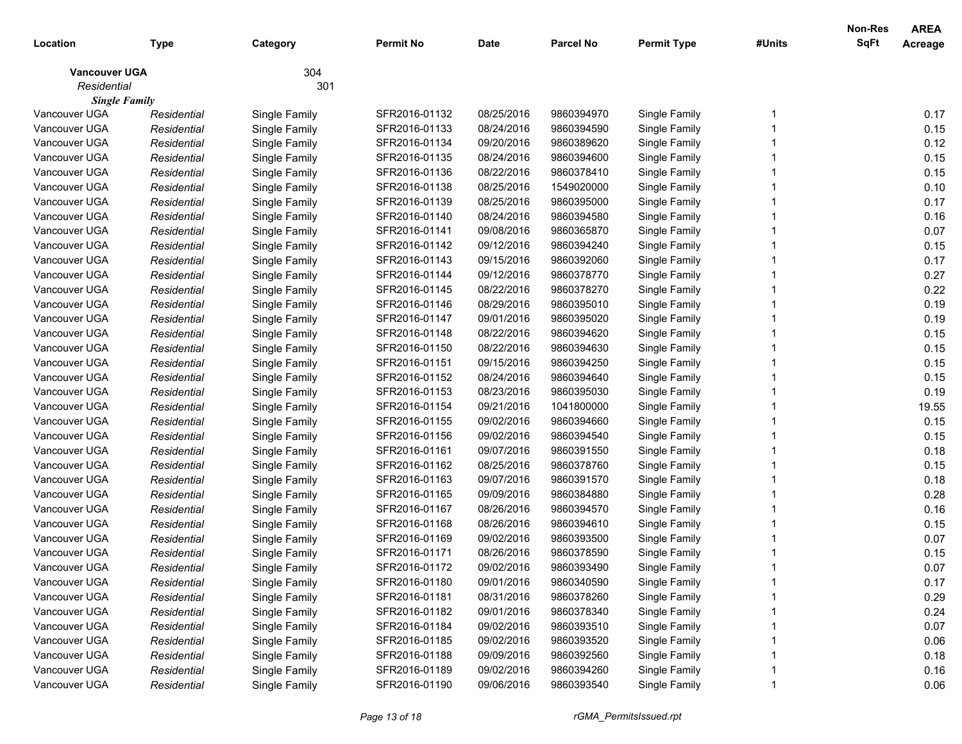|                      |             |               |                  |            |                  |                    |        | <b>Non-Res</b> | <b>AREA</b> |
|----------------------|-------------|---------------|------------------|------------|------------------|--------------------|--------|----------------|-------------|
| Location             | Type        | Category      | <b>Permit No</b> | Date       | <b>Parcel No</b> | <b>Permit Type</b> | #Units | <b>SqFt</b>    | Acreage     |
| <b>Vancouver UGA</b> |             | 304           |                  |            |                  |                    |        |                |             |
| Residential          |             | 301           |                  |            |                  |                    |        |                |             |
| <b>Single Family</b> |             |               |                  |            |                  |                    |        |                |             |
| Vancouver UGA        | Residential | Single Family | SFR2016-01132    | 08/25/2016 | 9860394970       | Single Family      |        |                | 0.17        |
| Vancouver UGA        | Residential | Single Family | SFR2016-01133    | 08/24/2016 | 9860394590       | Single Family      |        |                | 0.15        |
| Vancouver UGA        | Residential | Single Family | SFR2016-01134    | 09/20/2016 | 9860389620       | Single Family      |        |                | 0.12        |
| Vancouver UGA        | Residential | Single Family | SFR2016-01135    | 08/24/2016 | 9860394600       | Single Family      |        |                | 0.15        |
| Vancouver UGA        | Residential | Single Family | SFR2016-01136    | 08/22/2016 | 9860378410       | Single Family      |        |                | 0.15        |
| Vancouver UGA        | Residential | Single Family | SFR2016-01138    | 08/25/2016 | 1549020000       | Single Family      |        |                | 0.10        |
| Vancouver UGA        | Residential | Single Family | SFR2016-01139    | 08/25/2016 | 9860395000       | Single Family      |        |                | 0.17        |
| Vancouver UGA        | Residential | Single Family | SFR2016-01140    | 08/24/2016 | 9860394580       | Single Family      |        |                | 0.16        |
| Vancouver UGA        | Residential | Single Family | SFR2016-01141    | 09/08/2016 | 9860365870       | Single Family      |        |                | 0.07        |
| Vancouver UGA        | Residential | Single Family | SFR2016-01142    | 09/12/2016 | 9860394240       | Single Family      |        |                | 0.15        |
| Vancouver UGA        | Residential | Single Family | SFR2016-01143    | 09/15/2016 | 9860392060       | Single Family      |        |                | 0.17        |
| Vancouver UGA        | Residential | Single Family | SFR2016-01144    | 09/12/2016 | 9860378770       | Single Family      |        |                | 0.27        |
| Vancouver UGA        | Residential | Single Family | SFR2016-01145    | 08/22/2016 | 9860378270       | Single Family      |        |                | 0.22        |
| Vancouver UGA        | Residential | Single Family | SFR2016-01146    | 08/29/2016 | 9860395010       | Single Family      |        |                | 0.19        |
| Vancouver UGA        | Residential | Single Family | SFR2016-01147    | 09/01/2016 | 9860395020       | Single Family      |        |                | 0.19        |
| Vancouver UGA        | Residential | Single Family | SFR2016-01148    | 08/22/2016 | 9860394620       | Single Family      |        |                | 0.15        |
| Vancouver UGA        | Residential | Single Family | SFR2016-01150    | 08/22/2016 | 9860394630       | Single Family      |        |                | 0.15        |
| Vancouver UGA        | Residential | Single Family | SFR2016-01151    | 09/15/2016 | 9860394250       | Single Family      |        |                | 0.15        |
| Vancouver UGA        | Residential | Single Family | SFR2016-01152    | 08/24/2016 | 9860394640       | Single Family      |        |                | 0.15        |
| Vancouver UGA        | Residential | Single Family | SFR2016-01153    | 08/23/2016 | 9860395030       | Single Family      |        |                | 0.19        |
| Vancouver UGA        | Residential | Single Family | SFR2016-01154    | 09/21/2016 | 1041800000       | Single Family      |        |                | 19.55       |
| Vancouver UGA        | Residential | Single Family | SFR2016-01155    | 09/02/2016 | 9860394660       | Single Family      |        |                | 0.15        |
| Vancouver UGA        | Residential | Single Family | SFR2016-01156    | 09/02/2016 | 9860394540       | Single Family      |        |                | 0.15        |
| Vancouver UGA        | Residential | Single Family | SFR2016-01161    | 09/07/2016 | 9860391550       | Single Family      |        |                | 0.18        |
| Vancouver UGA        | Residential | Single Family | SFR2016-01162    | 08/25/2016 | 9860378760       | Single Family      |        |                | 0.15        |
| Vancouver UGA        | Residential | Single Family | SFR2016-01163    | 09/07/2016 | 9860391570       | Single Family      |        |                | 0.18        |
| Vancouver UGA        | Residential | Single Family | SFR2016-01165    | 09/09/2016 | 9860384880       | Single Family      |        |                | 0.28        |
| Vancouver UGA        | Residential | Single Family | SFR2016-01167    | 08/26/2016 | 9860394570       | Single Family      |        |                | 0.16        |
| Vancouver UGA        | Residential | Single Family | SFR2016-01168    | 08/26/2016 | 9860394610       | Single Family      |        |                | 0.15        |
| Vancouver UGA        | Residential | Single Family | SFR2016-01169    | 09/02/2016 | 9860393500       | Single Family      |        |                | 0.07        |
| Vancouver UGA        | Residential | Single Family | SFR2016-01171    | 08/26/2016 | 9860378590       | Single Family      |        |                | 0.15        |
| Vancouver UGA        | Residential | Single Family | SFR2016-01172    | 09/02/2016 | 9860393490       | Single Family      |        |                | 0.07        |
| Vancouver UGA        | Residential | Single Family | SFR2016-01180    | 09/01/2016 | 9860340590       | Single Family      |        |                | 0.17        |
| Vancouver UGA        | Residential | Single Family | SFR2016-01181    | 08/31/2016 | 9860378260       | Single Family      |        |                | 0.29        |
| Vancouver UGA        | Residential | Single Family | SFR2016-01182    | 09/01/2016 | 9860378340       | Single Family      |        |                | 0.24        |
| Vancouver UGA        | Residential | Single Family | SFR2016-01184    | 09/02/2016 | 9860393510       | Single Family      |        |                | 0.07        |
| Vancouver UGA        | Residential | Single Family | SFR2016-01185    | 09/02/2016 | 9860393520       | Single Family      |        |                | 0.06        |
| Vancouver UGA        | Residential | Single Family | SFR2016-01188    | 09/09/2016 | 9860392560       | Single Family      |        |                | 0.18        |
| Vancouver UGA        | Residential | Single Family | SFR2016-01189    | 09/02/2016 | 9860394260       | Single Family      |        |                | 0.16        |
| Vancouver UGA        | Residential | Single Family | SFR2016-01190    | 09/06/2016 | 9860393540       | Single Family      |        |                | 0.06        |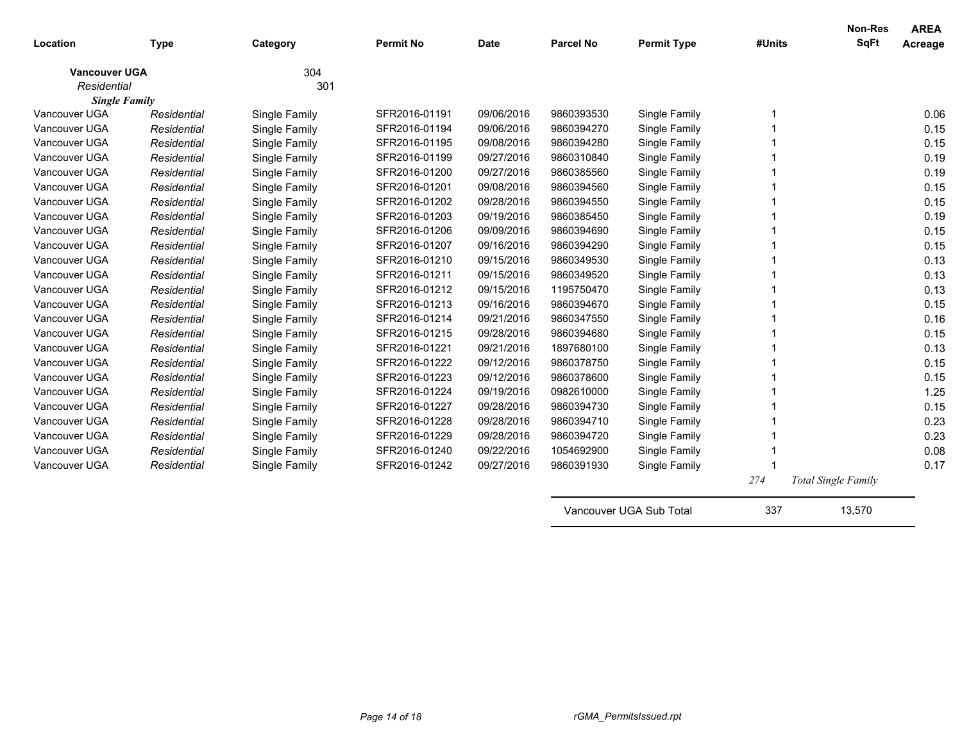| Location                            | <b>Type</b> | Category      | <b>Permit No</b> | <b>Date</b> | <b>Parcel No</b> | <b>Permit Type</b>      | #Units | Non-Res<br><b>SqFt</b>     | <b>AREA</b><br>Acreage |
|-------------------------------------|-------------|---------------|------------------|-------------|------------------|-------------------------|--------|----------------------------|------------------------|
|                                     |             |               |                  |             |                  |                         |        |                            |                        |
| <b>Vancouver UGA</b><br>Residential |             | 304<br>301    |                  |             |                  |                         |        |                            |                        |
| <b>Single Family</b>                |             |               |                  |             |                  |                         |        |                            |                        |
| Vancouver UGA                       | Residential | Single Family | SFR2016-01191    | 09/06/2016  | 9860393530       | Single Family           |        |                            | 0.06                   |
| Vancouver UGA                       | Residential | Single Family | SFR2016-01194    | 09/06/2016  | 9860394270       | Single Family           |        |                            | 0.15                   |
| Vancouver UGA                       | Residential | Single Family | SFR2016-01195    | 09/08/2016  | 9860394280       | Single Family           |        |                            | 0.15                   |
| Vancouver UGA                       | Residential | Single Family | SFR2016-01199    | 09/27/2016  | 9860310840       | Single Family           |        |                            | 0.19                   |
| Vancouver UGA                       | Residential | Single Family | SFR2016-01200    | 09/27/2016  | 9860385560       | Single Family           |        |                            | 0.19                   |
| Vancouver UGA                       | Residential | Single Family | SFR2016-01201    | 09/08/2016  | 9860394560       | Single Family           |        |                            | 0.15                   |
| Vancouver UGA                       | Residential | Single Family | SFR2016-01202    | 09/28/2016  | 9860394550       | Single Family           |        |                            | 0.15                   |
| Vancouver UGA                       | Residential | Single Family | SFR2016-01203    | 09/19/2016  | 9860385450       | Single Family           |        |                            | 0.19                   |
| Vancouver UGA                       | Residential | Single Family | SFR2016-01206    | 09/09/2016  | 9860394690       | Single Family           |        |                            | 0.15                   |
| Vancouver UGA                       | Residential | Single Family | SFR2016-01207    | 09/16/2016  | 9860394290       | Single Family           |        |                            | 0.15                   |
| Vancouver UGA                       | Residential | Single Family | SFR2016-01210    | 09/15/2016  | 9860349530       | Single Family           |        |                            | 0.13                   |
| Vancouver UGA                       | Residential | Single Family | SFR2016-01211    | 09/15/2016  | 9860349520       | Single Family           |        |                            | 0.13                   |
| Vancouver UGA                       | Residential | Single Family | SFR2016-01212    | 09/15/2016  | 1195750470       | Single Family           |        |                            | 0.13                   |
| Vancouver UGA                       | Residential | Single Family | SFR2016-01213    | 09/16/2016  | 9860394670       | Single Family           |        |                            | 0.15                   |
| Vancouver UGA                       | Residential | Single Family | SFR2016-01214    | 09/21/2016  | 9860347550       | Single Family           |        |                            | 0.16                   |
| Vancouver UGA                       | Residential | Single Family | SFR2016-01215    | 09/28/2016  | 9860394680       | Single Family           |        |                            | 0.15                   |
| Vancouver UGA                       | Residential | Single Family | SFR2016-01221    | 09/21/2016  | 1897680100       | Single Family           |        |                            | 0.13                   |
| Vancouver UGA                       | Residential | Single Family | SFR2016-01222    | 09/12/2016  | 9860378750       | Single Family           |        |                            | 0.15                   |
| Vancouver UGA                       | Residential | Single Family | SFR2016-01223    | 09/12/2016  | 9860378600       | Single Family           |        |                            | 0.15                   |
| Vancouver UGA                       | Residential | Single Family | SFR2016-01224    | 09/19/2016  | 0982610000       | Single Family           |        |                            | 1.25                   |
| Vancouver UGA                       | Residential | Single Family | SFR2016-01227    | 09/28/2016  | 9860394730       | Single Family           |        |                            | 0.15                   |
| Vancouver UGA                       | Residential | Single Family | SFR2016-01228    | 09/28/2016  | 9860394710       | Single Family           |        |                            | 0.23                   |
| Vancouver UGA                       | Residential | Single Family | SFR2016-01229    | 09/28/2016  | 9860394720       | Single Family           |        |                            | 0.23                   |
| Vancouver UGA                       | Residential | Single Family | SFR2016-01240    | 09/22/2016  | 1054692900       | Single Family           |        |                            | 0.08                   |
| Vancouver UGA                       | Residential | Single Family | SFR2016-01242    | 09/27/2016  | 9860391930       | Single Family           |        |                            | 0.17                   |
|                                     |             |               |                  |             |                  |                         | 274    | <b>Total Single Family</b> |                        |
|                                     |             |               |                  |             |                  | Vancouver UGA Sub Total | 337    | 13,570                     |                        |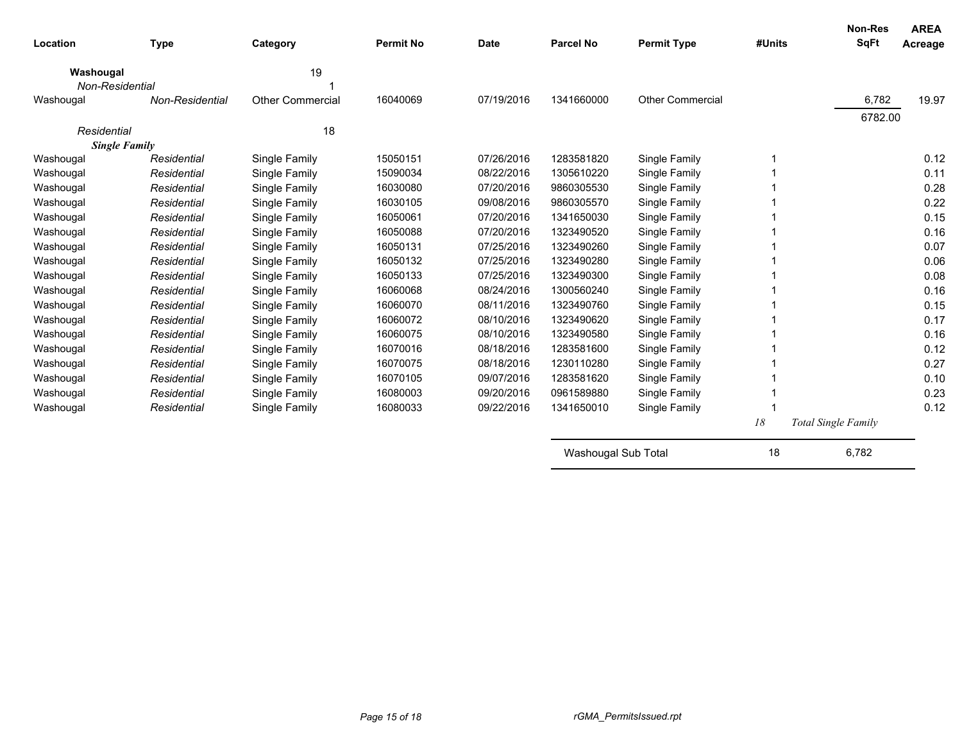| Location                            | <b>Type</b>     | Category                | <b>Permit No</b> | <b>Date</b> | Parcel No  | <b>Permit Type</b>      | #Units | <b>Non-Res</b><br><b>SqFt</b> | <b>AREA</b><br>Acreage |
|-------------------------------------|-----------------|-------------------------|------------------|-------------|------------|-------------------------|--------|-------------------------------|------------------------|
| Washougal<br>Non-Residential        |                 | 19                      |                  |             |            |                         |        |                               |                        |
| Washougal                           | Non-Residential | <b>Other Commercial</b> | 16040069         | 07/19/2016  | 1341660000 | <b>Other Commercial</b> |        | 6,782                         | 19.97                  |
|                                     |                 |                         |                  |             |            |                         |        | 6782.00                       |                        |
| Residential<br><b>Single Family</b> |                 | 18                      |                  |             |            |                         |        |                               |                        |
| Washougal                           | Residential     | Single Family           | 15050151         | 07/26/2016  | 1283581820 | Single Family           | 1      |                               | 0.12                   |
| Washougal                           | Residential     | Single Family           | 15090034         | 08/22/2016  | 1305610220 | Single Family           |        |                               | 0.11                   |
| Washougal                           | Residential     | Single Family           | 16030080         | 07/20/2016  | 9860305530 | Single Family           |        |                               | 0.28                   |
| Washougal                           | Residential     | Single Family           | 16030105         | 09/08/2016  | 9860305570 | Single Family           |        |                               | 0.22                   |
| Washougal                           | Residential     | Single Family           | 16050061         | 07/20/2016  | 1341650030 | Single Family           |        |                               | 0.15                   |
| Washougal                           | Residential     | Single Family           | 16050088         | 07/20/2016  | 1323490520 | Single Family           |        |                               | 0.16                   |
| Washougal                           | Residential     | Single Family           | 16050131         | 07/25/2016  | 1323490260 | Single Family           |        |                               | 0.07                   |
| Washougal                           | Residential     | Single Family           | 16050132         | 07/25/2016  | 1323490280 | Single Family           |        |                               | 0.06                   |
| Washougal                           | Residential     | Single Family           | 16050133         | 07/25/2016  | 1323490300 | Single Family           |        |                               | 0.08                   |
| Washougal                           | Residential     | Single Family           | 16060068         | 08/24/2016  | 1300560240 | Single Family           |        |                               | 0.16                   |
| Washougal                           | Residential     | Single Family           | 16060070         | 08/11/2016  | 1323490760 | Single Family           |        |                               | 0.15                   |
| Washougal                           | Residential     | Single Family           | 16060072         | 08/10/2016  | 1323490620 | Single Family           |        |                               | 0.17                   |
| Washougal                           | Residential     | Single Family           | 16060075         | 08/10/2016  | 1323490580 | Single Family           |        |                               | 0.16                   |
| Washougal                           | Residential     | Single Family           | 16070016         | 08/18/2016  | 1283581600 | Single Family           |        |                               | 0.12                   |
| Washougal                           | Residential     | Single Family           | 16070075         | 08/18/2016  | 1230110280 | Single Family           |        |                               | 0.27                   |
| Washougal                           | Residential     | Single Family           | 16070105         | 09/07/2016  | 1283581620 | Single Family           |        |                               | 0.10                   |
| Washougal                           | Residential     | Single Family           | 16080003         | 09/20/2016  | 0961589880 | Single Family           |        |                               | 0.23                   |
| Washougal                           | Residential     | Single Family           | 16080033         | 09/22/2016  | 1341650010 | Single Family           |        |                               | 0.12                   |
|                                     |                 |                         |                  |             |            |                         | 18     | <b>Total Single Family</b>    |                        |

| Washougal Sub Total | 6.782 |  |
|---------------------|-------|--|
|                     |       |  |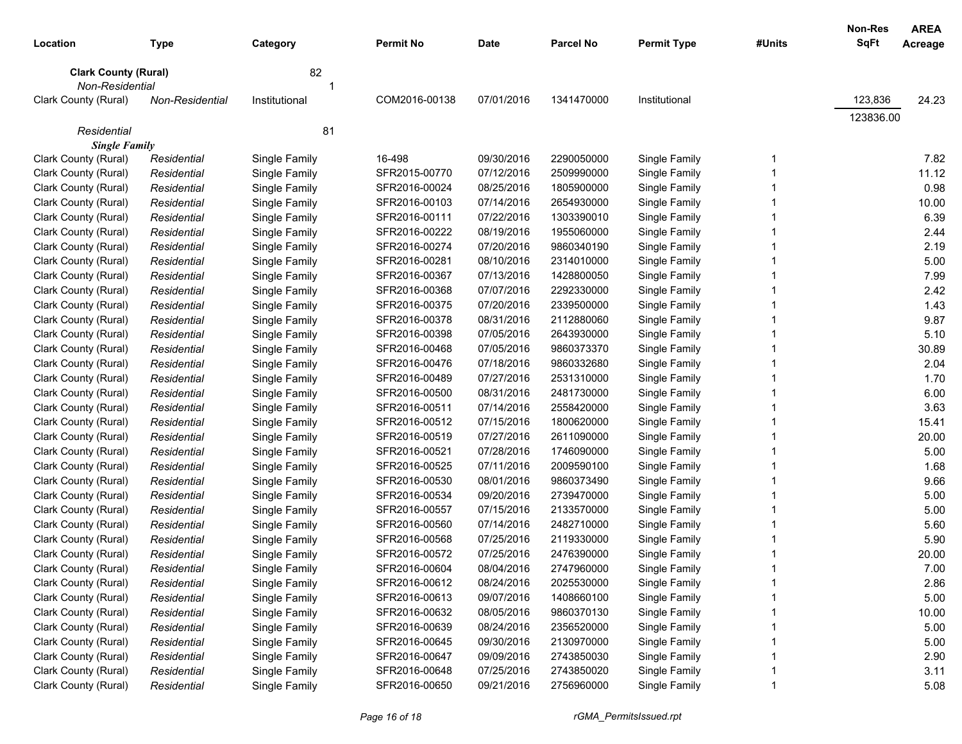|                             |                        |               |                  |             |                  |                    |        | Non-Res<br><b>AREA</b> |       |
|-----------------------------|------------------------|---------------|------------------|-------------|------------------|--------------------|--------|------------------------|-------|
| Location                    | Type                   | Category      | <b>Permit No</b> | <b>Date</b> | <b>Parcel No</b> | <b>Permit Type</b> | #Units | SqFt<br>Acreage        |       |
| <b>Clark County (Rural)</b> |                        | 82            |                  |             |                  |                    |        |                        |       |
| Non-Residential             |                        |               |                  |             |                  |                    |        |                        |       |
| Clark County (Rural)        | <b>Non-Residential</b> | Institutional | COM2016-00138    | 07/01/2016  | 1341470000       | Institutional      |        | 123,836                | 24.23 |
|                             |                        |               |                  |             |                  |                    |        | 123836.00              |       |
| Residential                 |                        | 81            |                  |             |                  |                    |        |                        |       |
| <b>Single Family</b>        |                        |               |                  |             |                  |                    |        |                        |       |
| Clark County (Rural)        | Residential            | Single Family | 16-498           | 09/30/2016  | 2290050000       | Single Family      | 1      |                        | 7.82  |
| Clark County (Rural)        | Residential            | Single Family | SFR2015-00770    | 07/12/2016  | 2509990000       | Single Family      |        |                        | 11.12 |
| Clark County (Rural)        | Residential            | Single Family | SFR2016-00024    | 08/25/2016  | 1805900000       | Single Family      |        |                        | 0.98  |
| Clark County (Rural)        | Residential            | Single Family | SFR2016-00103    | 07/14/2016  | 2654930000       | Single Family      |        |                        | 10.00 |
| Clark County (Rural)        | Residential            | Single Family | SFR2016-00111    | 07/22/2016  | 1303390010       | Single Family      |        |                        | 6.39  |
| Clark County (Rural)        | Residential            | Single Family | SFR2016-00222    | 08/19/2016  | 1955060000       | Single Family      |        |                        | 2.44  |
| Clark County (Rural)        | Residential            | Single Family | SFR2016-00274    | 07/20/2016  | 9860340190       | Single Family      |        |                        | 2.19  |
| Clark County (Rural)        | Residential            | Single Family | SFR2016-00281    | 08/10/2016  | 2314010000       | Single Family      |        |                        | 5.00  |
| Clark County (Rural)        | Residential            | Single Family | SFR2016-00367    | 07/13/2016  | 1428800050       | Single Family      |        |                        | 7.99  |
| Clark County (Rural)        | Residential            | Single Family | SFR2016-00368    | 07/07/2016  | 2292330000       | Single Family      |        |                        | 2.42  |
| Clark County (Rural)        | Residential            | Single Family | SFR2016-00375    | 07/20/2016  | 2339500000       | Single Family      |        |                        | 1.43  |
| Clark County (Rural)        | Residential            | Single Family | SFR2016-00378    | 08/31/2016  | 2112880060       | Single Family      |        |                        | 9.87  |
| Clark County (Rural)        | Residential            | Single Family | SFR2016-00398    | 07/05/2016  | 2643930000       | Single Family      |        |                        | 5.10  |
| Clark County (Rural)        | Residential            | Single Family | SFR2016-00468    | 07/05/2016  | 9860373370       | Single Family      |        |                        | 30.89 |
| Clark County (Rural)        | Residential            | Single Family | SFR2016-00476    | 07/18/2016  | 9860332680       | Single Family      |        |                        | 2.04  |
| Clark County (Rural)        | Residential            | Single Family | SFR2016-00489    | 07/27/2016  | 2531310000       | Single Family      |        |                        | 1.70  |
| Clark County (Rural)        | Residential            | Single Family | SFR2016-00500    | 08/31/2016  | 2481730000       | Single Family      |        |                        | 6.00  |
| Clark County (Rural)        | Residential            | Single Family | SFR2016-00511    | 07/14/2016  | 2558420000       | Single Family      |        |                        | 3.63  |
| Clark County (Rural)        | Residential            | Single Family | SFR2016-00512    | 07/15/2016  | 1800620000       | Single Family      |        |                        | 15.41 |
| Clark County (Rural)        | Residential            | Single Family | SFR2016-00519    | 07/27/2016  | 2611090000       | Single Family      |        |                        | 20.00 |
| Clark County (Rural)        | Residential            | Single Family | SFR2016-00521    | 07/28/2016  | 1746090000       | Single Family      |        |                        | 5.00  |
| Clark County (Rural)        | Residential            | Single Family | SFR2016-00525    | 07/11/2016  | 2009590100       | Single Family      |        |                        | 1.68  |
| Clark County (Rural)        | Residential            | Single Family | SFR2016-00530    | 08/01/2016  | 9860373490       | Single Family      |        |                        | 9.66  |
| Clark County (Rural)        | Residential            | Single Family | SFR2016-00534    | 09/20/2016  | 2739470000       | Single Family      |        |                        | 5.00  |
| Clark County (Rural)        | Residential            | Single Family | SFR2016-00557    | 07/15/2016  | 2133570000       | Single Family      |        |                        | 5.00  |
| Clark County (Rural)        | Residential            | Single Family | SFR2016-00560    | 07/14/2016  | 2482710000       | Single Family      |        |                        | 5.60  |
| Clark County (Rural)        | Residential            | Single Family | SFR2016-00568    | 07/25/2016  | 2119330000       | Single Family      |        |                        | 5.90  |
| Clark County (Rural)        | Residential            | Single Family | SFR2016-00572    | 07/25/2016  | 2476390000       | Single Family      |        |                        | 20.00 |
| Clark County (Rural)        | Residential            | Single Family | SFR2016-00604    | 08/04/2016  | 2747960000       | Single Family      |        |                        | 7.00  |
| Clark County (Rural)        | Residential            | Single Family | SFR2016-00612    | 08/24/2016  | 2025530000       | Single Family      |        |                        | 2.86  |
| Clark County (Rural)        | Residential            | Single Family | SFR2016-00613    | 09/07/2016  | 1408660100       | Single Family      |        |                        | 5.00  |
| Clark County (Rural)        | Residential            | Single Family | SFR2016-00632    | 08/05/2016  | 9860370130       | Single Family      |        |                        | 10.00 |
| Clark County (Rural)        | Residential            | Single Family | SFR2016-00639    | 08/24/2016  | 2356520000       | Single Family      |        |                        | 5.00  |
| Clark County (Rural)        | Residential            | Single Family | SFR2016-00645    | 09/30/2016  | 2130970000       | Single Family      |        |                        | 5.00  |
| Clark County (Rural)        | Residential            | Single Family | SFR2016-00647    | 09/09/2016  | 2743850030       | Single Family      |        |                        | 2.90  |
| Clark County (Rural)        | Residential            | Single Family | SFR2016-00648    | 07/25/2016  | 2743850020       | Single Family      |        |                        | 3.11  |
| Clark County (Rural)        | Residential            | Single Family | SFR2016-00650    | 09/21/2016  | 2756960000       | Single Family      |        |                        | 5.08  |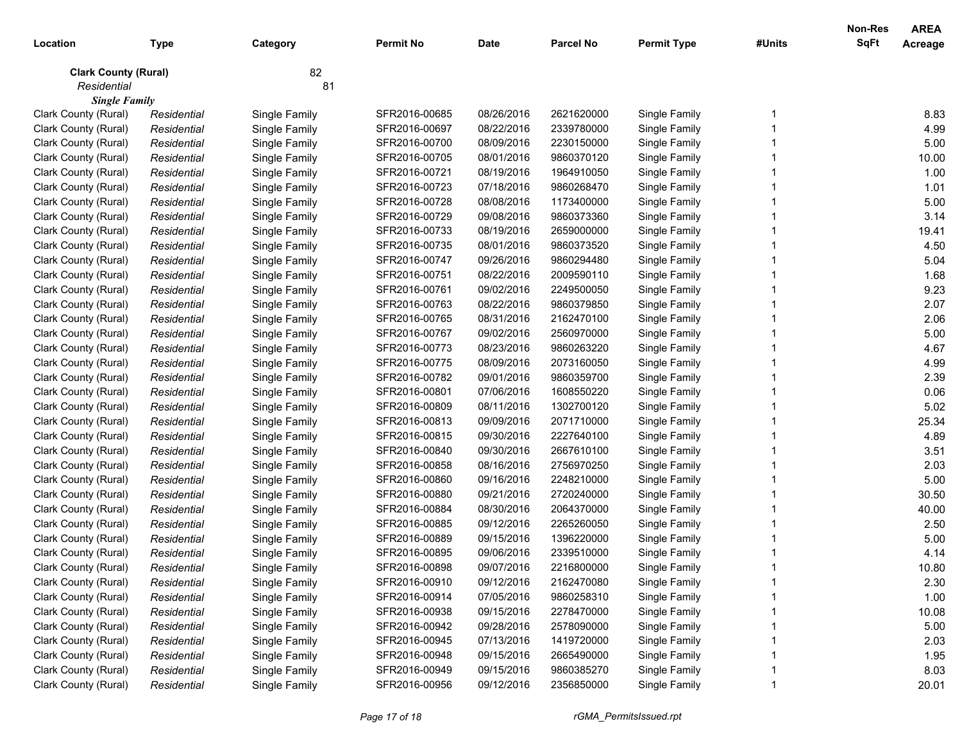| Location                    | <b>Type</b> | Category      | <b>Permit No</b> | <b>Date</b> | <b>Parcel No</b> | <b>Permit Type</b> | #Units | <b>Non-Res</b><br><b>SqFt</b> | <b>AREA</b><br>Acreage |
|-----------------------------|-------------|---------------|------------------|-------------|------------------|--------------------|--------|-------------------------------|------------------------|
| <b>Clark County (Rural)</b> |             | 82            |                  |             |                  |                    |        |                               |                        |
| Residential                 |             | 81            |                  |             |                  |                    |        |                               |                        |
| <b>Single Family</b>        |             |               |                  |             |                  |                    |        |                               |                        |
| Clark County (Rural)        | Residential | Single Family | SFR2016-00685    | 08/26/2016  | 2621620000       | Single Family      |        |                               | 8.83                   |
| Clark County (Rural)        | Residential | Single Family | SFR2016-00697    | 08/22/2016  | 2339780000       | Single Family      |        |                               | 4.99                   |
| Clark County (Rural)        | Residential | Single Family | SFR2016-00700    | 08/09/2016  | 2230150000       | Single Family      |        |                               | 5.00                   |
| Clark County (Rural)        | Residential | Single Family | SFR2016-00705    | 08/01/2016  | 9860370120       | Single Family      |        |                               | 10.00                  |
| Clark County (Rural)        | Residential | Single Family | SFR2016-00721    | 08/19/2016  | 1964910050       | Single Family      |        |                               | 1.00                   |
| Clark County (Rural)        | Residential | Single Family | SFR2016-00723    | 07/18/2016  | 9860268470       | Single Family      |        |                               | 1.01                   |
| Clark County (Rural)        | Residential | Single Family | SFR2016-00728    | 08/08/2016  | 1173400000       | Single Family      |        |                               | 5.00                   |
| Clark County (Rural)        | Residential | Single Family | SFR2016-00729    | 09/08/2016  | 9860373360       | Single Family      |        |                               | 3.14                   |
| Clark County (Rural)        | Residential | Single Family | SFR2016-00733    | 08/19/2016  | 2659000000       | Single Family      |        |                               | 19.41                  |
| Clark County (Rural)        | Residential | Single Family | SFR2016-00735    | 08/01/2016  | 9860373520       | Single Family      |        |                               | 4.50                   |
| Clark County (Rural)        | Residential | Single Family | SFR2016-00747    | 09/26/2016  | 9860294480       | Single Family      |        |                               | 5.04                   |
| Clark County (Rural)        | Residential | Single Family | SFR2016-00751    | 08/22/2016  | 2009590110       | Single Family      |        |                               | 1.68                   |
| Clark County (Rural)        | Residential | Single Family | SFR2016-00761    | 09/02/2016  | 2249500050       | Single Family      |        |                               | 9.23                   |
| Clark County (Rural)        | Residential | Single Family | SFR2016-00763    | 08/22/2016  | 9860379850       | Single Family      |        |                               | 2.07                   |
| Clark County (Rural)        | Residential | Single Family | SFR2016-00765    | 08/31/2016  | 2162470100       | Single Family      |        |                               | 2.06                   |
| Clark County (Rural)        | Residential | Single Family | SFR2016-00767    | 09/02/2016  | 2560970000       | Single Family      |        |                               | 5.00                   |
| Clark County (Rural)        | Residential | Single Family | SFR2016-00773    | 08/23/2016  | 9860263220       | Single Family      |        |                               | 4.67                   |
| Clark County (Rural)        | Residential | Single Family | SFR2016-00775    | 08/09/2016  | 2073160050       | Single Family      |        |                               | 4.99                   |
| Clark County (Rural)        | Residential | Single Family | SFR2016-00782    | 09/01/2016  | 9860359700       | Single Family      |        |                               | 2.39                   |
| Clark County (Rural)        | Residential | Single Family | SFR2016-00801    | 07/06/2016  | 1608550220       | Single Family      |        |                               | 0.06                   |
| Clark County (Rural)        | Residential | Single Family | SFR2016-00809    | 08/11/2016  | 1302700120       | Single Family      |        |                               | 5.02                   |
| Clark County (Rural)        | Residential | Single Family | SFR2016-00813    | 09/09/2016  | 2071710000       | Single Family      |        |                               | 25.34                  |
| Clark County (Rural)        | Residential | Single Family | SFR2016-00815    | 09/30/2016  | 2227640100       | Single Family      |        |                               | 4.89                   |
| Clark County (Rural)        | Residential | Single Family | SFR2016-00840    | 09/30/2016  | 2667610100       | Single Family      |        |                               | 3.51                   |
| Clark County (Rural)        | Residential | Single Family | SFR2016-00858    | 08/16/2016  | 2756970250       | Single Family      |        |                               | 2.03                   |
| Clark County (Rural)        | Residential | Single Family | SFR2016-00860    | 09/16/2016  | 2248210000       | Single Family      |        |                               | 5.00                   |
| Clark County (Rural)        | Residential | Single Family | SFR2016-00880    | 09/21/2016  | 2720240000       | Single Family      |        |                               | 30.50                  |
| Clark County (Rural)        | Residential | Single Family | SFR2016-00884    | 08/30/2016  | 2064370000       | Single Family      |        |                               | 40.00                  |
| Clark County (Rural)        | Residential | Single Family | SFR2016-00885    | 09/12/2016  | 2265260050       | Single Family      |        |                               | 2.50                   |
| Clark County (Rural)        | Residential | Single Family | SFR2016-00889    | 09/15/2016  | 1396220000       | Single Family      |        |                               | 5.00                   |
| Clark County (Rural)        | Residential | Single Family | SFR2016-00895    | 09/06/2016  | 2339510000       | Single Family      |        |                               | 4.14                   |
| Clark County (Rural)        | Residential | Single Family | SFR2016-00898    | 09/07/2016  | 2216800000       | Single Family      |        |                               | 10.80                  |
| Clark County (Rural)        | Residential | Single Family | SFR2016-00910    | 09/12/2016  | 2162470080       | Single Family      |        |                               | 2.30                   |
| Clark County (Rural)        | Residential | Single Family | SFR2016-00914    | 07/05/2016  | 9860258310       | Single Family      |        |                               | 1.00                   |
| Clark County (Rural)        | Residential | Single Family | SFR2016-00938    | 09/15/2016  | 2278470000       | Single Family      |        |                               | 10.08                  |
| Clark County (Rural)        | Residential | Single Family | SFR2016-00942    | 09/28/2016  | 2578090000       | Single Family      |        |                               | 5.00                   |
| Clark County (Rural)        | Residential | Single Family | SFR2016-00945    | 07/13/2016  | 1419720000       | Single Family      |        |                               | 2.03                   |
| Clark County (Rural)        | Residential | Single Family | SFR2016-00948    | 09/15/2016  | 2665490000       | Single Family      |        |                               | 1.95                   |
| Clark County (Rural)        | Residential | Single Family | SFR2016-00949    | 09/15/2016  | 9860385270       | Single Family      |        |                               | 8.03                   |
| Clark County (Rural)        | Residential | Single Family | SFR2016-00956    | 09/12/2016  | 2356850000       | Single Family      |        |                               | 20.01                  |